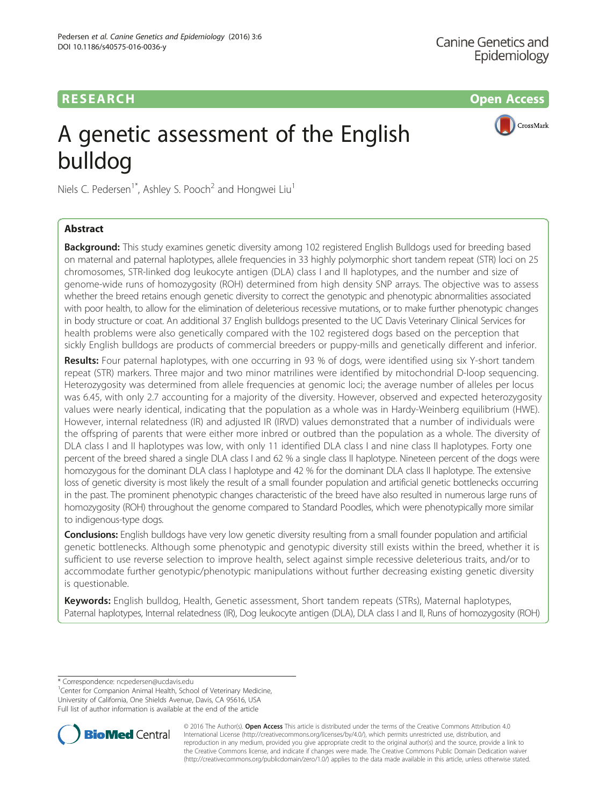CrossMark

# RESEARCH **RESEARCH CONSUMING ACCESS**

# A genetic assessment of the English bulldog

Niels C. Pedersen<sup>1\*</sup>, Ashley S. Pooch<sup>2</sup> and Hongwei Liu<sup>1</sup>

## Abstract

**Background:** This study examines genetic diversity among 102 registered English Bulldogs used for breeding based on maternal and paternal haplotypes, allele frequencies in 33 highly polymorphic short tandem repeat (STR) loci on 25 chromosomes, STR-linked dog leukocyte antigen (DLA) class I and II haplotypes, and the number and size of genome-wide runs of homozygosity (ROH) determined from high density SNP arrays. The objective was to assess whether the breed retains enough genetic diversity to correct the genotypic and phenotypic abnormalities associated with poor health, to allow for the elimination of deleterious recessive mutations, or to make further phenotypic changes in body structure or coat. An additional 37 English bulldogs presented to the UC Davis Veterinary Clinical Services for health problems were also genetically compared with the 102 registered dogs based on the perception that sickly English bulldogs are products of commercial breeders or puppy-mills and genetically different and inferior.

Results: Four paternal haplotypes, with one occurring in 93 % of dogs, were identified using six Y-short tandem repeat (STR) markers. Three major and two minor matrilines were identified by mitochondrial D-loop sequencing. Heterozygosity was determined from allele frequencies at genomic loci; the average number of alleles per locus was 6.45, with only 2.7 accounting for a majority of the diversity. However, observed and expected heterozygosity values were nearly identical, indicating that the population as a whole was in Hardy-Weinberg equilibrium (HWE). However, internal relatedness (IR) and adjusted IR (IRVD) values demonstrated that a number of individuals were the offspring of parents that were either more inbred or outbred than the population as a whole. The diversity of DLA class I and II haplotypes was low, with only 11 identified DLA class I and nine class II haplotypes. Forty one percent of the breed shared a single DLA class I and 62 % a single class II haplotype. Nineteen percent of the dogs were homozygous for the dominant DLA class I haplotype and 42 % for the dominant DLA class II haplotype. The extensive loss of genetic diversity is most likely the result of a small founder population and artificial genetic bottlenecks occurring in the past. The prominent phenotypic changes characteristic of the breed have also resulted in numerous large runs of homozygosity (ROH) throughout the genome compared to Standard Poodles, which were phenotypically more similar to indigenous-type dogs.

**Conclusions:** English bulldogs have very low genetic diversity resulting from a small founder population and artificial genetic bottlenecks. Although some phenotypic and genotypic diversity still exists within the breed, whether it is sufficient to use reverse selection to improve health, select against simple recessive deleterious traits, and/or to accommodate further genotypic/phenotypic manipulations without further decreasing existing genetic diversity is questionable.

Keywords: English bulldog, Health, Genetic assessment, Short tandem repeats (STRs), Maternal haplotypes, Paternal haplotypes, Internal relatedness (IR), Dog leukocyte antigen (DLA), DLA class I and II, Runs of homozygosity (ROH)

\* Correspondence: [ncpedersen@ucdavis.edu](mailto:ncpedersen@ucdavis.edu) <sup>1</sup>

<sup>1</sup> Center for Companion Animal Health, School of Veterinary Medicine, University of California, One Shields Avenue, Davis, CA 95616, USA Full list of author information is available at the end of the article



© 2016 The Author(s). Open Access This article is distributed under the terms of the Creative Commons Attribution 4.0 International License [\(http://creativecommons.org/licenses/by/4.0/](http://creativecommons.org/licenses/by/4.0/)), which permits unrestricted use, distribution, and reproduction in any medium, provided you give appropriate credit to the original author(s) and the source, provide a link to the Creative Commons license, and indicate if changes were made. The Creative Commons Public Domain Dedication waiver [\(http://creativecommons.org/publicdomain/zero/1.0/](http://creativecommons.org/publicdomain/zero/1.0/)) applies to the data made available in this article, unless otherwise stated.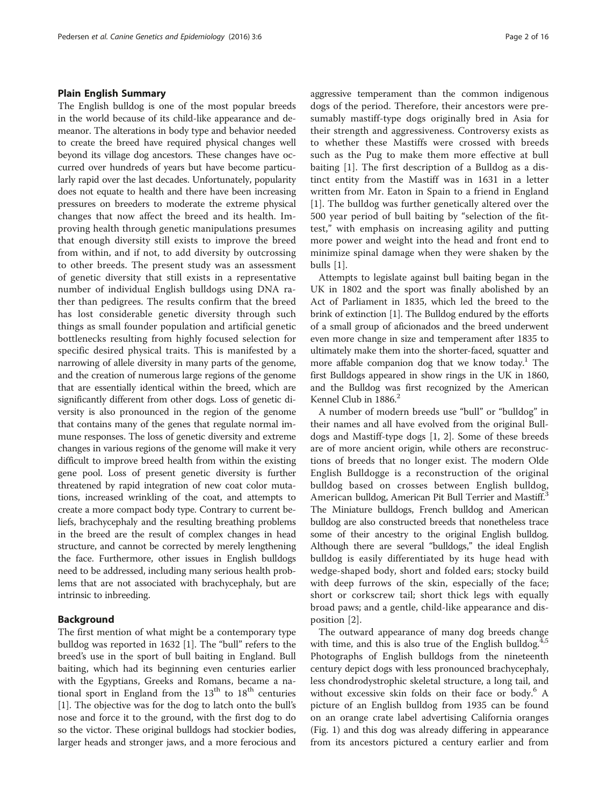## Plain English Summary

The English bulldog is one of the most popular breeds in the world because of its child-like appearance and demeanor. The alterations in body type and behavior needed to create the breed have required physical changes well beyond its village dog ancestors. These changes have occurred over hundreds of years but have become particularly rapid over the last decades. Unfortunately, popularity does not equate to health and there have been increasing pressures on breeders to moderate the extreme physical changes that now affect the breed and its health. Improving health through genetic manipulations presumes that enough diversity still exists to improve the breed from within, and if not, to add diversity by outcrossing to other breeds. The present study was an assessment of genetic diversity that still exists in a representative number of individual English bulldogs using DNA rather than pedigrees. The results confirm that the breed has lost considerable genetic diversity through such things as small founder population and artificial genetic bottlenecks resulting from highly focused selection for specific desired physical traits. This is manifested by a narrowing of allele diversity in many parts of the genome, and the creation of numerous large regions of the genome that are essentially identical within the breed, which are significantly different from other dogs. Loss of genetic diversity is also pronounced in the region of the genome that contains many of the genes that regulate normal immune responses. The loss of genetic diversity and extreme changes in various regions of the genome will make it very difficult to improve breed health from within the existing gene pool. Loss of present genetic diversity is further threatened by rapid integration of new coat color mutations, increased wrinkling of the coat, and attempts to create a more compact body type. Contrary to current beliefs, brachycephaly and the resulting breathing problems in the breed are the result of complex changes in head structure, and cannot be corrected by merely lengthening the face. Furthermore, other issues in English bulldogs need to be addressed, including many serious health problems that are not associated with brachycephaly, but are intrinsic to inbreeding.

## Background

The first mention of what might be a contemporary type bulldog was reported in 1632 [[1\]](#page-14-0). The "bull" refers to the breed's use in the sport of bull baiting in England. Bull baiting, which had its beginning even centuries earlier with the Egyptians, Greeks and Romans, became a national sport in England from the  $13<sup>th</sup>$  to  $18<sup>th</sup>$  centuries [[1\]](#page-14-0). The objective was for the dog to latch onto the bull's nose and force it to the ground, with the first dog to do so the victor. These original bulldogs had stockier bodies, larger heads and stronger jaws, and a more ferocious and aggressive temperament than the common indigenous dogs of the period. Therefore, their ancestors were presumably mastiff-type dogs originally bred in Asia for their strength and aggressiveness. Controversy exists as to whether these Mastiffs were crossed with breeds such as the Pug to make them more effective at bull baiting [\[1](#page-14-0)]. The first description of a Bulldog as a distinct entity from the Mastiff was in 1631 in a letter written from Mr. Eaton in Spain to a friend in England [[1](#page-14-0)]. The bulldog was further genetically altered over the 500 year period of bull baiting by "selection of the fittest," with emphasis on increasing agility and putting more power and weight into the head and front end to minimize spinal damage when they were shaken by the bulls [[1\]](#page-14-0).

Attempts to legislate against bull baiting began in the UK in 1802 and the sport was finally abolished by an Act of Parliament in 1835, which led the breed to the brink of extinction [\[1](#page-14-0)]. The Bulldog endured by the efforts of a small group of aficionados and the breed underwent even more change in size and temperament after 1835 to ultimately make them into the shorter-faced, squatter and more affable companion dog that we know today.<sup>1</sup> The first Bulldogs appeared in show rings in the UK in 1860, and the Bulldog was first recognized by the American Kennel Club in  $1886.<sup>2</sup>$ 

A number of modern breeds use "bull" or "bulldog" in their names and all have evolved from the original Bulldogs and Mastiff-type dogs [[1, 2](#page-14-0)]. Some of these breeds are of more ancient origin, while others are reconstructions of breeds that no longer exist. The modern Olde English Bulldogge is a reconstruction of the original bulldog based on crosses between English bulldog, American bulldog, American Pit Bull Terrier and Mastiff.<sup>3</sup> The Miniature bulldogs, French bulldog and American bulldog are also constructed breeds that nonetheless trace some of their ancestry to the original English bulldog. Although there are several "bulldogs," the ideal English bulldog is easily differentiated by its huge head with wedge-shaped body, short and folded ears; stocky build with deep furrows of the skin, especially of the face; short or corkscrew tail; short thick legs with equally broad paws; and a gentle, child-like appearance and disposition [[2\]](#page-14-0).

The outward appearance of many dog breeds change with time, and this is also true of the English bulldog. $4.5$ Photographs of English bulldogs from the nineteenth century depict dogs with less pronounced brachycephaly, less chondrodystrophic skeletal structure, a long tail, and without excessive skin folds on their face or body.<sup>6</sup> A picture of an English bulldog from 1935 can be found on an orange crate label advertising California oranges (Fig. [1\)](#page-2-0) and this dog was already differing in appearance from its ancestors pictured a century earlier and from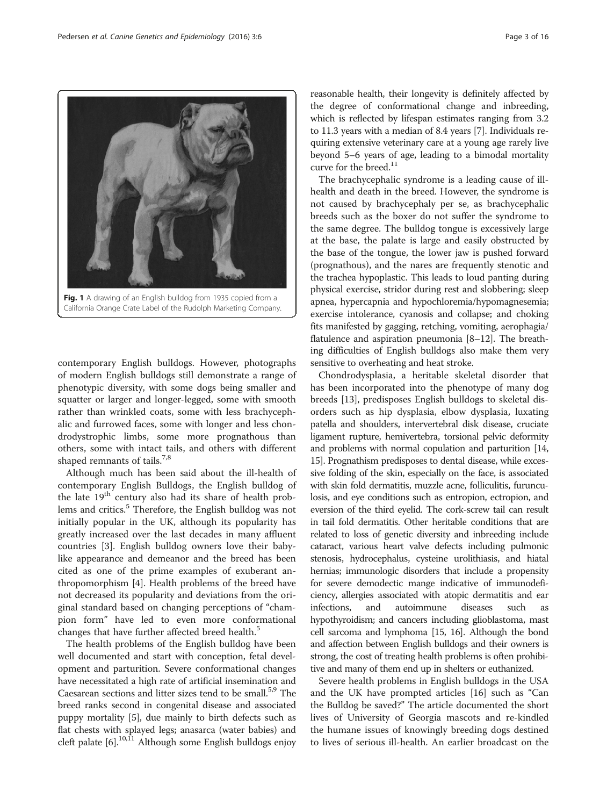contemporary English bulldogs. However, photographs of modern English bulldogs still demonstrate a range of phenotypic diversity, with some dogs being smaller and squatter or larger and longer-legged, some with smooth rather than wrinkled coats, some with less brachycephalic and furrowed faces, some with longer and less chondrodystrophic limbs, some more prognathous than others, some with intact tails, and others with different shaped remnants of tails.<sup>7,8</sup>

Although much has been said about the ill-health of contemporary English Bulldogs, the English bulldog of the late  $19<sup>th</sup>$  century also had its share of health problems and critics.<sup>5</sup> Therefore, the English bulldog was not initially popular in the UK, although its popularity has greatly increased over the last decades in many affluent countries [[3\]](#page-14-0). English bulldog owners love their babylike appearance and demeanor and the breed has been cited as one of the prime examples of exuberant anthropomorphism [[4\]](#page-14-0). Health problems of the breed have not decreased its popularity and deviations from the original standard based on changing perceptions of "champion form" have led to even more conformational changes that have further affected breed health.<sup>5</sup>

The health problems of the English bulldog have been well documented and start with conception, fetal development and parturition. Severe conformational changes have necessitated a high rate of artificial insemination and Caesarean sections and litter sizes tend to be small.<sup>5,9</sup> The breed ranks second in congenital disease and associated puppy mortality [\[5](#page-14-0)], due mainly to birth defects such as flat chests with splayed legs; anasarca (water babies) and cleft palate [\[6](#page-14-0)].10,11 Although some English bulldogs enjoy

reasonable health, their longevity is definitely affected by the degree of conformational change and inbreeding, which is reflected by lifespan estimates ranging from 3.2 to 11.3 years with a median of 8.4 years [\[7\]](#page-14-0). Individuals requiring extensive veterinary care at a young age rarely live beyond 5–6 years of age, leading to a bimodal mortality curve for the breed.<sup>11</sup>

The brachycephalic syndrome is a leading cause of illhealth and death in the breed. However, the syndrome is not caused by brachycephaly per se, as brachycephalic breeds such as the boxer do not suffer the syndrome to the same degree. The bulldog tongue is excessively large at the base, the palate is large and easily obstructed by the base of the tongue, the lower jaw is pushed forward (prognathous), and the nares are frequently stenotic and the trachea hypoplastic. This leads to loud panting during physical exercise, stridor during rest and slobbering; sleep apnea, hypercapnia and hypochloremia/hypomagnesemia; exercise intolerance, cyanosis and collapse; and choking fits manifested by gagging, retching, vomiting, aerophagia/ flatulence and aspiration pneumonia [[8](#page-14-0)–[12\]](#page-14-0). The breathing difficulties of English bulldogs also make them very sensitive to overheating and heat stroke.

Chondrodysplasia, a heritable skeletal disorder that has been incorporated into the phenotype of many dog breeds [[13\]](#page-14-0), predisposes English bulldogs to skeletal disorders such as hip dysplasia, elbow dysplasia, luxating patella and shoulders, intervertebral disk disease, cruciate ligament rupture, hemivertebra, torsional pelvic deformity and problems with normal copulation and parturition [\[14](#page-14-0), [15](#page-14-0)]. Prognathism predisposes to dental disease, while excessive folding of the skin, especially on the face, is associated with skin fold dermatitis, muzzle acne, folliculitis, furunculosis, and eye conditions such as entropion, ectropion, and eversion of the third eyelid. The cork-screw tail can result in tail fold dermatitis. Other heritable conditions that are related to loss of genetic diversity and inbreeding include cataract, various heart valve defects including pulmonic stenosis, hydrocephalus, cysteine urolithiasis, and hiatal hernias; immunologic disorders that include a propensity for severe demodectic mange indicative of immunodeficiency, allergies associated with atopic dermatitis and ear infections, and autoimmune diseases such as hypothyroidism; and cancers including glioblastoma, mast cell sarcoma and lymphoma [[15](#page-14-0), [16\]](#page-14-0). Although the bond and affection between English bulldogs and their owners is strong, the cost of treating health problems is often prohibitive and many of them end up in shelters or euthanized.

Severe health problems in English bulldogs in the USA and the UK have prompted articles [[16\]](#page-14-0) such as "Can the Bulldog be saved?" The article documented the short lives of University of Georgia mascots and re-kindled the humane issues of knowingly breeding dogs destined to lives of serious ill-health. An earlier broadcast on the

Fig. 1 A drawing of an English bulldog from 1935 copied from a

California Orange Crate Label of the Rudolph Marketing Company.

<span id="page-2-0"></span>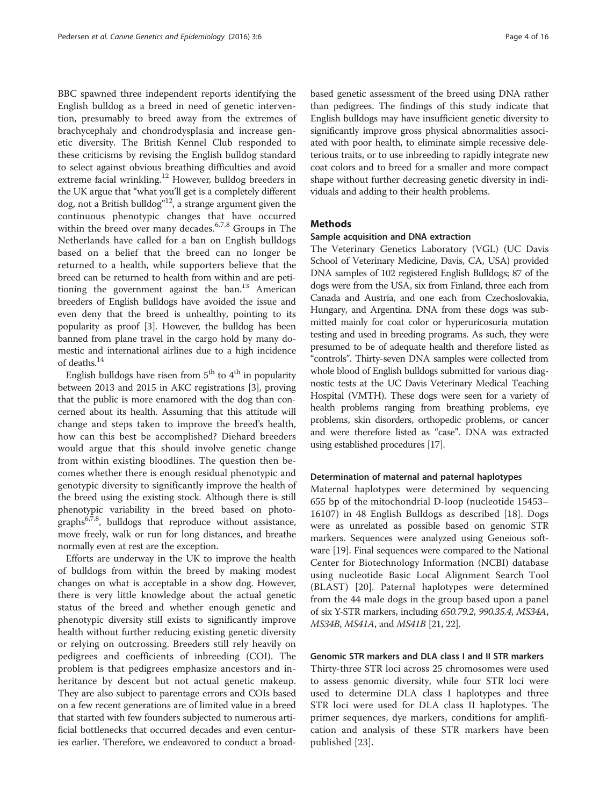BBC spawned three independent reports identifying the English bulldog as a breed in need of genetic intervention, presumably to breed away from the extremes of brachycephaly and chondrodysplasia and increase genetic diversity. The British Kennel Club responded to these criticisms by revising the English bulldog standard to select against obvious breathing difficulties and avoid extreme facial wrinkling.<sup>12</sup> However, bulldog breeders in the UK argue that "what you'll get is a completely different dog, not a British bulldog"<sup>12</sup>, a strange argument given the continuous phenotypic changes that have occurred within the breed over many decades.<sup>6,7,8</sup> Groups in The Netherlands have called for a ban on English bulldogs based on a belief that the breed can no longer be returned to a health, while supporters believe that the breed can be returned to health from within and are petitioning the government against the ban.<sup>13</sup> American breeders of English bulldogs have avoided the issue and even deny that the breed is unhealthy, pointing to its popularity as proof [\[3](#page-14-0)]. However, the bulldog has been banned from plane travel in the cargo hold by many domestic and international airlines due to a high incidence of deaths.14

English bulldogs have risen from  $5<sup>th</sup>$  to  $4<sup>th</sup>$  in popularity between 2013 and 2015 in AKC registrations [[3](#page-14-0)], proving that the public is more enamored with the dog than concerned about its health. Assuming that this attitude will change and steps taken to improve the breed's health, how can this best be accomplished? Diehard breeders would argue that this should involve genetic change from within existing bloodlines. The question then becomes whether there is enough residual phenotypic and genotypic diversity to significantly improve the health of the breed using the existing stock. Although there is still phenotypic variability in the breed based on photographs6,7,8, bulldogs that reproduce without assistance, move freely, walk or run for long distances, and breathe normally even at rest are the exception.

Efforts are underway in the UK to improve the health of bulldogs from within the breed by making modest changes on what is acceptable in a show dog. However, there is very little knowledge about the actual genetic status of the breed and whether enough genetic and phenotypic diversity still exists to significantly improve health without further reducing existing genetic diversity or relying on outcrossing. Breeders still rely heavily on pedigrees and coefficients of inbreeding (COI). The problem is that pedigrees emphasize ancestors and inheritance by descent but not actual genetic makeup. They are also subject to parentage errors and COIs based on a few recent generations are of limited value in a breed that started with few founders subjected to numerous artificial bottlenecks that occurred decades and even centuries earlier. Therefore, we endeavored to conduct a broadbased genetic assessment of the breed using DNA rather than pedigrees. The findings of this study indicate that English bulldogs may have insufficient genetic diversity to significantly improve gross physical abnormalities associated with poor health, to eliminate simple recessive deleterious traits, or to use inbreeding to rapidly integrate new coat colors and to breed for a smaller and more compact shape without further decreasing genetic diversity in individuals and adding to their health problems.

## **Methods**

## Sample acquisition and DNA extraction

The Veterinary Genetics Laboratory (VGL) (UC Davis School of Veterinary Medicine, Davis, CA, USA) provided DNA samples of 102 registered English Bulldogs; 87 of the dogs were from the USA, six from Finland, three each from Canada and Austria, and one each from Czechoslovakia, Hungary, and Argentina. DNA from these dogs was submitted mainly for coat color or hyperuricosuria mutation testing and used in breeding programs. As such, they were presumed to be of adequate health and therefore listed as "controls". Thirty-seven DNA samples were collected from whole blood of English bulldogs submitted for various diagnostic tests at the UC Davis Veterinary Medical Teaching Hospital (VMTH). These dogs were seen for a variety of health problems ranging from breathing problems, eye problems, skin disorders, orthopedic problems, or cancer and were therefore listed as "case". DNA was extracted using established procedures [\[17\]](#page-14-0).

## Determination of maternal and paternal haplotypes

Maternal haplotypes were determined by sequencing 655 bp of the mitochondrial D-loop (nucleotide 15453– 16107) in 48 English Bulldogs as described [[18\]](#page-14-0). Dogs were as unrelated as possible based on genomic STR markers. Sequences were analyzed using Geneious software [[19](#page-14-0)]. Final sequences were compared to the National Center for Biotechnology Information (NCBI) database using nucleotide Basic Local Alignment Search Tool (BLAST) [[20\]](#page-14-0). Paternal haplotypes were determined from the 44 male dogs in the group based upon a panel of six Y-STR markers, including 650.79.2, 990.35.4, MS34A, MS34B, MS41A, and MS41B [\[21, 22\]](#page-14-0).

## Genomic STR markers and DLA class I and II STR markers

Thirty-three STR loci across 25 chromosomes were used to assess genomic diversity, while four STR loci were used to determine DLA class I haplotypes and three STR loci were used for DLA class II haplotypes. The primer sequences, dye markers, conditions for amplification and analysis of these STR markers have been published [\[23](#page-14-0)].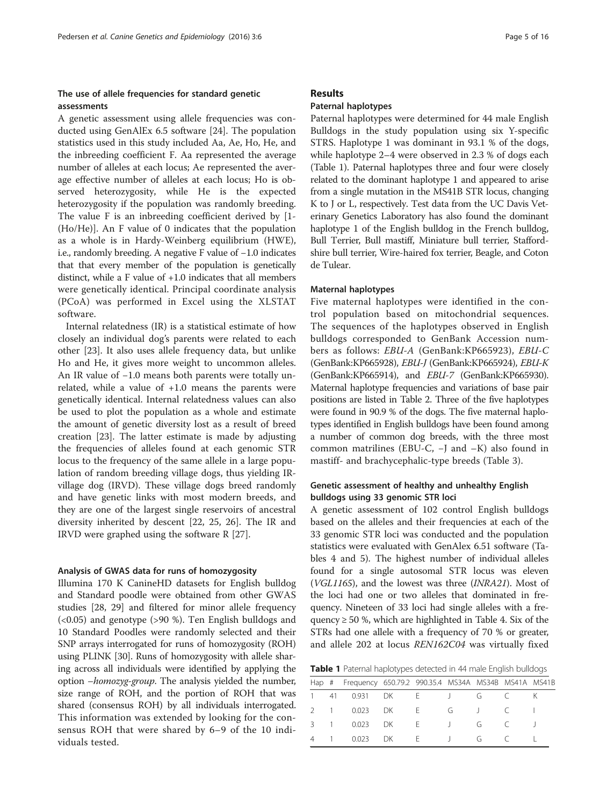## The use of allele frequencies for standard genetic assessments

A genetic assessment using allele frequencies was conducted using GenAlEx 6.5 software [[24](#page-14-0)]. The population statistics used in this study included Aa, Ae, Ho, He, and the inbreeding coefficient F. Aa represented the average number of alleles at each locus; Ae represented the average effective number of alleles at each locus; Ho is observed heterozygosity, while He is the expected heterozygosity if the population was randomly breeding. The value F is an inbreeding coefficient derived by [1- (Ho/He)]. An F value of 0 indicates that the population as a whole is in Hardy-Weinberg equilibrium (HWE), i.e., randomly breeding. A negative F value of −1.0 indicates that that every member of the population is genetically distinct, while a F value of +1.0 indicates that all members were genetically identical. Principal coordinate analysis (PCoA) was performed in Excel using the XLSTAT software.

Internal relatedness (IR) is a statistical estimate of how closely an individual dog's parents were related to each other [\[23](#page-14-0)]. It also uses allele frequency data, but unlike Ho and He, it gives more weight to uncommon alleles. An IR value of −1.0 means both parents were totally unrelated, while a value of  $+1.0$  means the parents were genetically identical. Internal relatedness values can also be used to plot the population as a whole and estimate the amount of genetic diversity lost as a result of breed creation [\[23](#page-14-0)]. The latter estimate is made by adjusting the frequencies of alleles found at each genomic STR locus to the frequency of the same allele in a large population of random breeding village dogs, thus yielding IRvillage dog (IRVD). These village dogs breed randomly and have genetic links with most modern breeds, and they are one of the largest single reservoirs of ancestral diversity inherited by descent [[22, 25, 26](#page-14-0)]. The IR and IRVD were graphed using the software R [[27\]](#page-14-0).

#### Analysis of GWAS data for runs of homozygosity

Illumina 170 K CanineHD datasets for English bulldog and Standard poodle were obtained from other GWAS studies [[28](#page-14-0), [29\]](#page-14-0) and filtered for minor allele frequency (<0.05) and genotype (>90 %). Ten English bulldogs and 10 Standard Poodles were randomly selected and their SNP arrays interrogated for runs of homozygosity (ROH) using PLINK [\[30](#page-14-0)]. Runs of homozygosity with allele sharing across all individuals were identified by applying the option –homozyg-group. The analysis yielded the number, size range of ROH, and the portion of ROH that was shared (consensus ROH) by all individuals interrogated. This information was extended by looking for the consensus ROH that were shared by 6–9 of the 10 individuals tested.

## Results

## Paternal haplotypes

Paternal haplotypes were determined for 44 male English Bulldogs in the study population using six Y-specific STRS. Haplotype 1 was dominant in 93.1 % of the dogs, while haplotype 2–4 were observed in 2.3 % of dogs each (Table 1). Paternal haplotypes three and four were closely related to the dominant haplotype 1 and appeared to arise from a single mutation in the MS41B STR locus, changing K to J or L, respectively. Test data from the UC Davis Veterinary Genetics Laboratory has also found the dominant haplotype 1 of the English bulldog in the French bulldog, Bull Terrier, Bull mastiff, Miniature bull terrier, Staffordshire bull terrier, Wire-haired fox terrier, Beagle, and Coton de Tulear.

#### Maternal haplotypes

Five maternal haplotypes were identified in the control population based on mitochondrial sequences. The sequences of the haplotypes observed in English bulldogs corresponded to GenBank Accession numbers as follows: EBU-A (GenBank:KP665923), EBU-C (GenBank:KP665928), EBU-J (GenBank:KP665924), EBU-K (GenBank:KP665914), and EBU-7 (GenBank:KP665930). Maternal haplotype frequencies and variations of base pair positions are listed in Table [2.](#page-5-0) Three of the five haplotypes were found in 90.9 % of the dogs. The five maternal haplotypes identified in English bulldogs have been found among a number of common dog breeds, with the three most common matrilines (EBU-C, −J and –K) also found in mastiff- and brachycephalic-type breeds (Table [3\)](#page-5-0).

## Genetic assessment of healthy and unhealthy English bulldogs using 33 genomic STR loci

A genetic assessment of 102 control English bulldogs based on the alleles and their frequencies at each of the 33 genomic STR loci was conducted and the population statistics were evaluated with GenAlex 6.51 software (Tables [4](#page-6-0) and [5](#page-7-0)). The highest number of individual alleles found for a single autosomal STR locus was eleven (VGL1165), and the lowest was three (INRA21). Most of the loci had one or two alleles that dominated in frequency. Nineteen of 33 loci had single alleles with a frequency  $\geq 50$  %, which are highlighted in Table [4.](#page-6-0) Six of the STRs had one allele with a frequency of 70 % or greater, and allele 202 at locus REN162C04 was virtually fixed

Table 1 Paternal haplotypes detected in 44 male English bulldogs

|  | Hap # Frequency 650.79.2 990.35.4 MS34A MS34B MS41A MS41B |  |  |  |
|--|-----------------------------------------------------------|--|--|--|
|  | 1 41 0.931 DK E J G C K                                   |  |  |  |
|  | 2 1 0.023 DK E G J C I                                    |  |  |  |
|  | 3 1 0.023 DK E J G C J                                    |  |  |  |
|  | 4 1 0.023 DK E J G C                                      |  |  |  |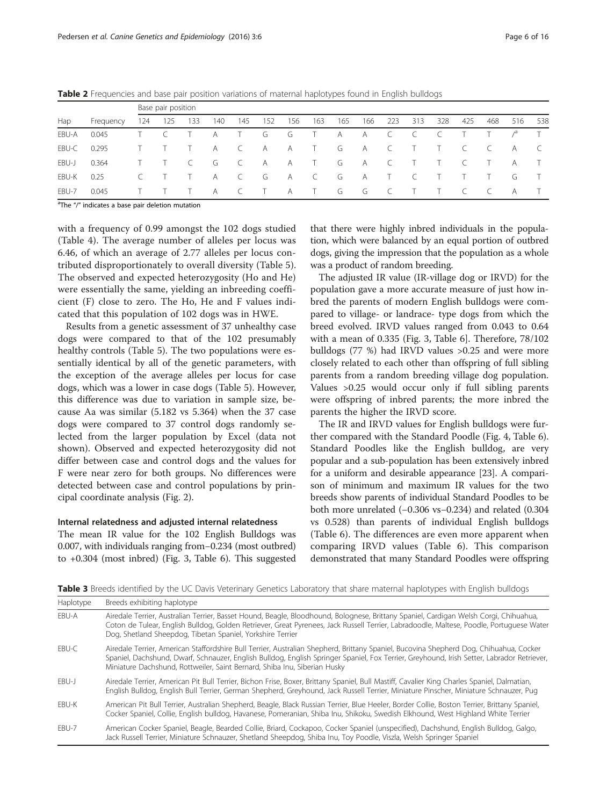|       |           |     | Base pair position |               |              |                |     |          |        |     |       |                |                |     |                |           |       |               |
|-------|-----------|-----|--------------------|---------------|--------------|----------------|-----|----------|--------|-----|-------|----------------|----------------|-----|----------------|-----------|-------|---------------|
| Hap   | Frequency | 124 | 125                | 133           | 140          | 145            | 152 | 156      | 163    | 165 | 166   | 223            | 313            | 328 | 425            | 468       | 516   | - 538         |
| EBU-A | 0.045     |     |                    |               | A            | $\top$         | G   | G        | $\top$ |     | A A C |                | $\overline{C}$ | C   |                |           | $/^d$ | $\top$        |
| EBU-C | 0.295     |     |                    |               | A            | C .            | A   | A        | $\top$ | G   | A C   |                | $\top$         | T.  | $\subset$      | $\subset$ | A     | $\mathcal{C}$ |
| EBU-J | 0.364     |     |                    | $\mathcal{C}$ | G            | $\overline{C}$ | A   | <b>A</b> | T G    |     | A C   |                | $\mathbb{R}$   | T.  | $\overline{C}$ |           | A     | $\top$        |
| EBU-K | 0.25      |     |                    |               | $\mathsf{A}$ | $\overline{C}$ | G   | A        | $C$ G  |     | A     | $\top$         | $\overline{C}$ |     |                |           | G     | T             |
| EBU-7 | 0.045     |     |                    |               | A            | $\subset$      |     | A        | $\top$ | G   | G     | $\overline{C}$ |                |     | C              |           | A     |               |

<span id="page-5-0"></span>Table 2 Frequencies and base pair position variations of maternal haplotypes found in English bulldogs

<sup>a</sup>The "/" indicates a base pair deletion mutation

with a frequency of 0.99 amongst the 102 dogs studied (Table [4](#page-6-0)). The average number of alleles per locus was 6.46, of which an average of 2.77 alleles per locus contributed disproportionately to overall diversity (Table [5](#page-7-0)). The observed and expected heterozygosity (Ho and He) were essentially the same, yielding an inbreeding coefficient (F) close to zero. The Ho, He and F values indicated that this population of 102 dogs was in HWE.

Results from a genetic assessment of 37 unhealthy case dogs were compared to that of the 102 presumably healthy controls (Table [5](#page-7-0)). The two populations were essentially identical by all of the genetic parameters, with the exception of the average alleles per locus for case dogs, which was a lower in case dogs (Table [5](#page-7-0)). However, this difference was due to variation in sample size, because Aa was similar (5.182 vs 5.364) when the 37 case dogs were compared to 37 control dogs randomly selected from the larger population by Excel (data not shown). Observed and expected heterozygosity did not differ between case and control dogs and the values for F were near zero for both groups. No differences were detected between case and control populations by principal coordinate analysis (Fig. [2\)](#page-7-0).

## Internal relatedness and adjusted internal relatedness

The mean IR value for the 102 English Bulldogs was 0.007, with individuals ranging from−0.234 (most outbred) to +0.304 (most inbred) (Fig. [3](#page-8-0), Table [6](#page-8-0)). This suggested

that there were highly inbred individuals in the population, which were balanced by an equal portion of outbred dogs, giving the impression that the population as a whole was a product of random breeding.

The adjusted IR value (IR-village dog or IRVD) for the population gave a more accurate measure of just how inbred the parents of modern English bulldogs were compared to village- or landrace- type dogs from which the breed evolved. IRVD values ranged from 0.043 to 0.64 with a mean of 0.335 (Fig. [3](#page-8-0), Table [6](#page-8-0)]. Therefore, 78/102 bulldogs (77 %) had IRVD values >0.25 and were more closely related to each other than offspring of full sibling parents from a random breeding village dog population. Values >0.25 would occur only if full sibling parents were offspring of inbred parents; the more inbred the parents the higher the IRVD score.

The IR and IRVD values for English bulldogs were further compared with the Standard Poodle (Fig. [4](#page-8-0), Table [6](#page-8-0)). Standard Poodles like the English bulldog, are very popular and a sub-population has been extensively inbred for a uniform and desirable appearance [\[23\]](#page-14-0). A comparison of minimum and maximum IR values for the two breeds show parents of individual Standard Poodles to be both more unrelated (−0.306 vs−0.234) and related (0.304 vs 0.528) than parents of individual English bulldogs (Table [6\)](#page-8-0). The differences are even more apparent when comparing IRVD values (Table [6\)](#page-8-0). This comparison demonstrated that many Standard Poodles were offspring

Table 3 Breeds identified by the UC Davis Veterinary Genetics Laboratory that share maternal haplotypes with English bulldogs

| Haplotype | Breeds exhibiting haplotype                                                                                                                                                                                                                                                                                                                                       |
|-----------|-------------------------------------------------------------------------------------------------------------------------------------------------------------------------------------------------------------------------------------------------------------------------------------------------------------------------------------------------------------------|
| FBU-A     | Airedale Terrier, Australian Terrier, Basset Hound, Beagle, Bloodhound, Bolognese, Brittany Spaniel, Cardigan Welsh Corgi, Chihuahua,<br>Coton de Tulear, English Bulldog, Golden Retriever, Great Pyrenees, Jack Russell Terrier, Labradoodle, Maltese, Poodle, Portuguese Water<br>Dog, Shetland Sheepdog, Tibetan Spaniel, Yorkshire Terrier                   |
| EBU-C     | Airedale Terrier, American Staffordshire Bull Terrier, Australian Shepherd, Brittany Spaniel, Bucovina Shepherd Dog, Chihuahua, Cocker<br>Spaniel, Dachshund, Dwarf, Schnauzer, English Bulldog, English Springer Spaniel, Fox Terrier, Greyhound, Irish Setter, Labrador Retriever,<br>Miniature Dachshund, Rottweiler, Saint Bernard, Shiba Inu, Siberian Husky |
| FBU-J     | Airedale Terrier, American Pit Bull Terrier, Bichon Frise, Boxer, Brittany Spaniel, Bull Mastiff, Cavalier King Charles Spaniel, Dalmatian,<br>English Bulldog, English Bull Terrier, German Shepherd, Greyhound, Jack Russell Terrier, Miniature Pinscher, Miniature Schnauzer, Pug                                                                              |
| EBU-K     | American Pit Bull Terrier, Australian Shepherd, Beagle, Black Russian Terrier, Blue Heeler, Border Collie, Boston Terrier, Brittany Spaniel,<br>Cocker Spaniel, Collie, English bulldog, Havanese, Pomeranian, Shiba Inu, Shikoku, Swedish Elkhound, West Highland White Terrier                                                                                  |
| EBU-7     | American Cocker Spaniel, Beagle, Bearded Collie, Briard, Cockapoo, Cocker Spaniel (unspecified), Dachshund, English Bulldog, Galgo,<br>Jack Russell Terrier, Miniature Schnauzer, Shetland Sheepdog, Shiba Inu, Toy Poodle, Viszla, Welsh Springer Spaniel                                                                                                        |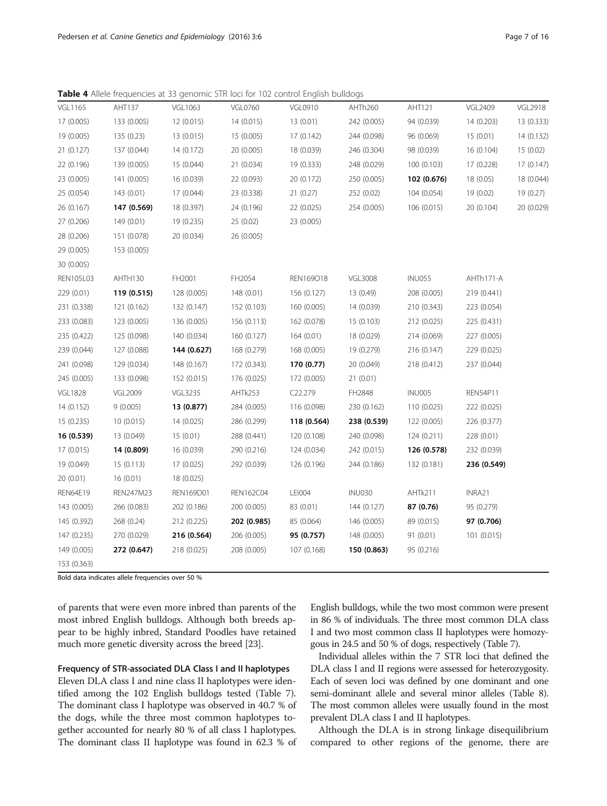<span id="page-6-0"></span>Table 4 Allele frequencies at 33 genomic STR loci for 102 control English bulldogs

| <b>VGL1165</b>   | AHT137           | <b>VGL1063</b> | <b>VGL0760</b>   | <b>VGL0910</b> | AHTh260        | AHT121        | <b>VGL2409</b>  | <b>VGL2918</b> |
|------------------|------------------|----------------|------------------|----------------|----------------|---------------|-----------------|----------------|
| 17 (0.005)       | 133 (0.005)      | 12 (0.015)     | 14 (0.015)       | 13 (0.01)      | 242 (0.005)    | 94 (0.039)    | 14 (0.203)      | 13 (0.333)     |
| 19 (0.005)       | 135 (0.23)       | 13 (0.015)     | 15 (0.005)       | 17 (0.142)     | 244 (0.098)    | 96 (0.069)    | 15(0.01)        | 14 (0.132)     |
| 21 (0.127)       | 137 (0.044)      | 14 (0.172)     | 20 (0.005)       | 18 (0.039)     | 246 (0.304)    | 98 (0.039)    | 16 (0.104)      | 15(0.02)       |
| 22 (0.196)       | 139 (0.005)      | 15 (0.044)     | 21 (0.034)       | 19 (0.333)     | 248 (0.029)    | 100 (0.103)   | 17 (0.228)      | 17 (0.147)     |
| 23 (0.005)       | 141 (0.005)      | 16 (0.039)     | 22 (0.093)       | 20 (0.172)     | 250 (0.005)    | 102 (0.676)   | 18 (0.05)       | 18 (0.044)     |
| 25 (0.054)       | 143(0.01)        | 17 (0.044)     | 23 (0.338)       | 21(0.27)       | 252 (0.02)     | 104 (0.054)   | 19 (0.02)       | 19(0.27)       |
| 26 (0.167)       | 147 (0.569)      | 18 (0.397)     | 24 (0.196)       | 22 (0.025)     | 254 (0.005)    | 106 (0.015)   | 20 (0.104)      | 20 (0.029)     |
| 27 (0.206)       | 149 (0.01)       | 19 (0.235)     | 25 (0.02)        | 23 (0.005)     |                |               |                 |                |
| 28 (0.206)       | 151 (0.078)      | 20 (0.034)     | 26 (0.005)       |                |                |               |                 |                |
| 29 (0.005)       | 153 (0.005)      |                |                  |                |                |               |                 |                |
| 30 (0.005)       |                  |                |                  |                |                |               |                 |                |
| <b>REN105L03</b> | AHTH130          | FH2001         | FH2054           | REN169O18      | <b>VGL3008</b> | <b>INU055</b> | AHTh171-A       |                |
| 229 (0.01)       | 119 (0.515)      | 128 (0.005)    | 148 (0.01)       | 156 (0.127)    | 13 (0.49)      | 208 (0.005)   | 219 (0.441)     |                |
| 231 (0.338)      | 121 (0.162)      | 132 (0.147)    | 152 (0.103)      | 160 (0.005)    | 14 (0.039)     | 210 (0.343)   | 223 (0.054)     |                |
| 233 (0.083)      | 123 (0.005)      | 136 (0.005)    | 156 (0.113)      | 162 (0.078)    | 15(0.103)      | 212 (0.025)   | 225 (0.431)     |                |
| 235 (0.422)      | 125 (0.098)      | 140 (0.034)    | 160 (0.127)      | 164 (0.01)     | 18 (0.029)     | 214 (0.069)   | 227 (0.005)     |                |
| 239 (0.044)      | 127 (0.088)      | 144 (0.627)    | 168 (0.279)      | 168 (0.005)    | 19 (0.279)     | 216 (0.147)   | 229 (0.025)     |                |
| 241 (0.098)      | 129 (0.034)      | 148 (0.167)    | 172 (0.343)      | 170 (0.77)     | 20 (0.049)     | 218 (0.412)   | 237 (0.044)     |                |
| 245 (0.005)      | 133 (0.098)      | 152 (0.015)    | 176 (0.025)      | 172 (0.005)    | 21(0.01)       |               |                 |                |
| <b>VGL1828</b>   | <b>VGL2009</b>   | <b>VGL3235</b> | AHTk253          | C22.279        | FH2848         | <b>INU005</b> | <b>REN54P11</b> |                |
| 14 (0.152)       | 9(0.005)         | 13 (0.877)     | 284 (0.005)      | 116 (0.098)    | 230 (0.162)    | 110 (0.025)   | 222 (0.025)     |                |
| 15 (0.235)       | 10(0.015)        | 14 (0.025)     | 286 (0.299)      | 118 (0.564)    | 238 (0.539)    | 122 (0.005)   | 226 (0.377)     |                |
| 16 (0.539)       | 13 (0.049)       | 15 (0.01)      | 288 (0.441)      | 120 (0.108)    | 240 (0.098)    | 124 (0.211)   | 228 (0.01)      |                |
| 17 (0.015)       | 14 (0.809)       | 16 (0.039)     | 290 (0.216)      | 124 (0.034)    | 242 (0.015)    | 126 (0.578)   | 232 (0.039)     |                |
| 19 (0.049)       | 15(0.113)        | 17 (0.025)     | 292 (0.039)      | 126 (0.196)    | 244 (0.186)    | 132 (0.181)   | 236 (0.549)     |                |
| 20 (0.01)        | 16(0.01)         | 18 (0.025)     |                  |                |                |               |                 |                |
| <b>REN64E19</b>  | <b>REN247M23</b> | REN169D01      | <b>REN162C04</b> | <b>LEI004</b>  | <b>INU030</b>  | AHTk211       | INRA21          |                |
| 143 (0.005)      | 266 (0.083)      | 202 (0.186)    | 200 (0.005)      | 83 (0.01)      | 144 (0.127)    | 87 (0.76)     | 95 (0.279)      |                |
| 145 (0.392)      | 268 (0.24)       | 212 (0.225)    | 202 (0.985)      | 85 (0.064)     | 146 (0.005)    | 89 (0.015)    | 97 (0.706)      |                |
| 147 (0.235)      | 270 (0.029)      | 216 (0.564)    | 206 (0.005)      | 95 (0.757)     | 148 (0.005)    | 91(0.01)      | 101 (0.015)     |                |
| 149 (0.005)      | 272 (0.647)      | 218 (0.025)    | 208 (0.005)      | 107 (0.168)    | 150 (0.863)    | 95 (0.216)    |                 |                |
| 153 (0.363)      |                  |                |                  |                |                |               |                 |                |

Bold data indicates allele frequencies over 50 %

of parents that were even more inbred than parents of the most inbred English bulldogs. Although both breeds appear to be highly inbred, Standard Poodles have retained much more genetic diversity across the breed [[23](#page-14-0)].

Frequency of STR-associated DLA Class I and II haplotypes

Eleven DLA class I and nine class II haplotypes were identified among the 102 English bulldogs tested (Table [7](#page-9-0)). The dominant class I haplotype was observed in 40.7 % of the dogs, while the three most common haplotypes together accounted for nearly 80 % of all class I haplotypes. The dominant class II haplotype was found in 62.3 % of

English bulldogs, while the two most common were present in 86 % of individuals. The three most common DLA class I and two most common class II haplotypes were homozygous in 24.5 and 50 % of dogs, respectively (Table [7\)](#page-9-0).

Individual alleles within the 7 STR loci that defined the DLA class I and II regions were assessed for heterozygosity. Each of seven loci was defined by one dominant and one semi-dominant allele and several minor alleles (Table [8](#page-9-0)). The most common alleles were usually found in the most prevalent DLA class I and II haplotypes.

Although the DLA is in strong linkage disequilibrium compared to other regions of the genome, there are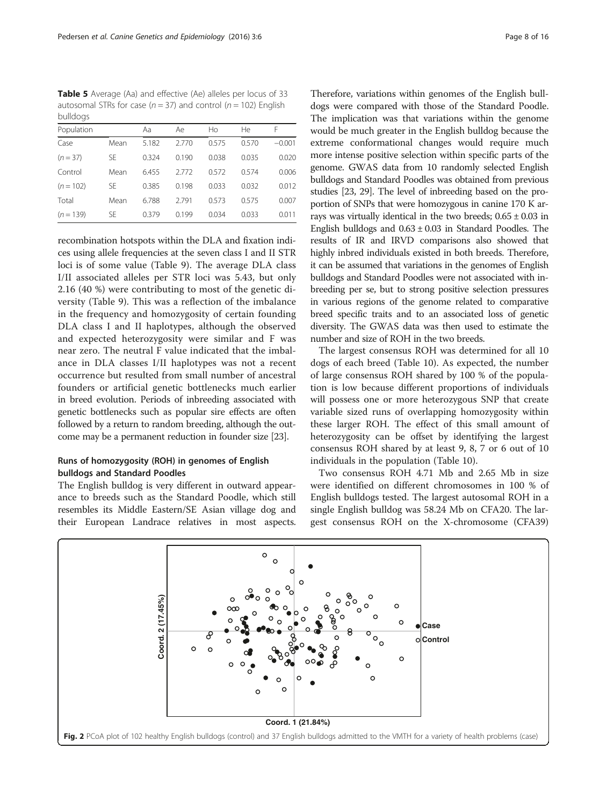<span id="page-7-0"></span>Table 5 Average (Aa) and effective (Ae) alleles per locus of 33 autosomal STRs for case ( $n = 37$ ) and control ( $n = 102$ ) English bulldogs

| Population  |           | Aa    | Ae    | Ho    | He    | F        |
|-------------|-----------|-------|-------|-------|-------|----------|
| Case        | Mean      | 5.182 | 2.770 | 0.575 | 0.570 | $-0.001$ |
| $(n=37)$    | SE.       | 0.324 | 0.190 | 0.038 | 0.035 | 0.020    |
| Control     | Mean      | 6.455 | 2.772 | 0.572 | 0.574 | 0.006    |
| $(n = 102)$ | <b>SE</b> | 0.385 | 0.198 | 0.033 | 0.032 | 0.012    |
| Total       | Mean      | 6.788 | 2.791 | 0.573 | 0.575 | 0.007    |
| $(n = 139)$ | SE.       | 0.379 | 0.199 | 0.034 | 0.033 | 0.011    |

recombination hotspots within the DLA and fixation indices using allele frequencies at the seven class I and II STR loci is of some value (Table [9\)](#page-9-0). The average DLA class I/II associated alleles per STR loci was 5.43, but only 2.16 (40 %) were contributing to most of the genetic diversity (Table [9](#page-9-0)). This was a reflection of the imbalance in the frequency and homozygosity of certain founding DLA class I and II haplotypes, although the observed and expected heterozygosity were similar and F was near zero. The neutral F value indicated that the imbalance in DLA classes I/II haplotypes was not a recent occurrence but resulted from small number of ancestral founders or artificial genetic bottlenecks much earlier in breed evolution. Periods of inbreeding associated with genetic bottlenecks such as popular sire effects are often followed by a return to random breeding, although the outcome may be a permanent reduction in founder size [\[23](#page-14-0)].

## Runs of homozygosity (ROH) in genomes of English bulldogs and Standard Poodles

The English bulldog is very different in outward appearance to breeds such as the Standard Poodle, which still resembles its Middle Eastern/SE Asian village dog and their European Landrace relatives in most aspects.

Therefore, variations within genomes of the English bulldogs were compared with those of the Standard Poodle. The implication was that variations within the genome would be much greater in the English bulldog because the extreme conformational changes would require much more intense positive selection within specific parts of the genome. GWAS data from 10 randomly selected English bulldogs and Standard Poodles was obtained from previous studies [\[23](#page-14-0), [29](#page-14-0)]. The level of inbreeding based on the proportion of SNPs that were homozygous in canine 170 K arrays was virtually identical in the two breeds;  $0.65 \pm 0.03$  in English bulldogs and  $0.63 \pm 0.03$  in Standard Poodles. The results of IR and IRVD comparisons also showed that highly inbred individuals existed in both breeds. Therefore, it can be assumed that variations in the genomes of English bulldogs and Standard Poodles were not associated with inbreeding per se, but to strong positive selection pressures in various regions of the genome related to comparative breed specific traits and to an associated loss of genetic diversity. The GWAS data was then used to estimate the number and size of ROH in the two breeds.

The largest consensus ROH was determined for all 10 dogs of each breed (Table [10](#page-10-0)). As expected, the number of large consensus ROH shared by 100 % of the population is low because different proportions of individuals will possess one or more heterozygous SNP that create variable sized runs of overlapping homozygosity within these larger ROH. The effect of this small amount of heterozygosity can be offset by identifying the largest consensus ROH shared by at least 9, 8, 7 or 6 out of 10 individuals in the population (Table [10\)](#page-10-0).

Two consensus ROH 4.71 Mb and 2.65 Mb in size were identified on different chromosomes in 100 % of English bulldogs tested. The largest autosomal ROH in a single English bulldog was 58.24 Mb on CFA20. The largest consensus ROH on the X-chromosome (CFA39)

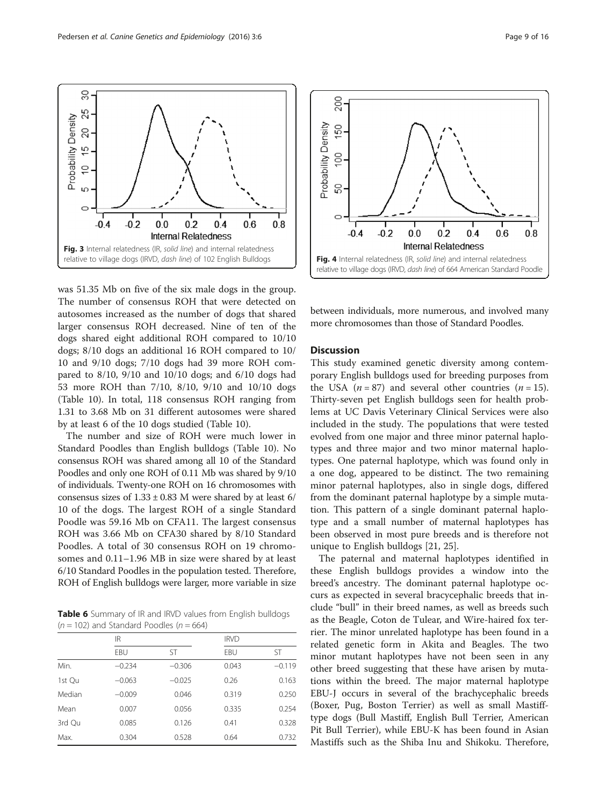was 51.35 Mb on five of the six male dogs in the group. The number of consensus ROH that were detected on autosomes increased as the number of dogs that shared larger consensus ROH decreased. Nine of ten of the dogs shared eight additional ROH compared to 10/10 dogs; 8/10 dogs an additional 16 ROH compared to 10/ 10 and 9/10 dogs; 7/10 dogs had 39 more ROH compared to 8/10, 9/10 and 10/10 dogs; and 6/10 dogs had 53 more ROH than 7/10, 8/10, 9/10 and 10/10 dogs (Table [10](#page-10-0)). In total, 118 consensus ROH ranging from 1.31 to 3.68 Mb on 31 different autosomes were shared by at least 6 of the 10 dogs studied (Table [10\)](#page-10-0).

The number and size of ROH were much lower in Standard Poodles than English bulldogs (Table [10](#page-10-0)). No consensus ROH was shared among all 10 of the Standard Poodles and only one ROH of 0.11 Mb was shared by 9/10 of individuals. Twenty-one ROH on 16 chromosomes with consensus sizes of  $1.33 \pm 0.83$  M were shared by at least 6/ 10 of the dogs. The largest ROH of a single Standard Poodle was 59.16 Mb on CFA11. The largest consensus ROH was 3.66 Mb on CFA30 shared by 8/10 Standard Poodles. A total of 30 consensus ROH on 19 chromosomes and 0.11–1.96 MB in size were shared by at least 6/10 Standard Poodles in the population tested. Therefore, ROH of English bulldogs were larger, more variable in size

Table 6 Summary of IR and IRVD values from English bulldogs  $(n = 102)$  and Standard Poodles  $(n = 664)$ 

|        | ΙR       |           | <b>IRVD</b> |          |  |
|--------|----------|-----------|-------------|----------|--|
|        | EBU      | <b>ST</b> | EBU         | ST       |  |
| Min.   | $-0.234$ | $-0.306$  | 0.043       | $-0.119$ |  |
| 1st Qu | $-0.063$ | $-0.025$  | 0.26        | 0.163    |  |
| Median | $-0.009$ | 0.046     | 0.319       | 0.250    |  |
| Mean   | 0.007    | 0.056     | 0.335       | 0.254    |  |
| 3rd Qu | 0.085    | 0.126     | 0.41        | 0.328    |  |
| Max.   | 0.304    | 0.528     | 0.64        | 0.732    |  |

between individuals, more numerous, and involved many more chromosomes than those of Standard Poodles.

## **Discussion**

This study examined genetic diversity among contemporary English bulldogs used for breeding purposes from the USA  $(n = 87)$  and several other countries  $(n = 15)$ . Thirty-seven pet English bulldogs seen for health problems at UC Davis Veterinary Clinical Services were also included in the study. The populations that were tested evolved from one major and three minor paternal haplotypes and three major and two minor maternal haplotypes. One paternal haplotype, which was found only in a one dog, appeared to be distinct. The two remaining minor paternal haplotypes, also in single dogs, differed from the dominant paternal haplotype by a simple mutation. This pattern of a single dominant paternal haplotype and a small number of maternal haplotypes has been observed in most pure breeds and is therefore not unique to English bulldogs [\[21](#page-14-0), [25](#page-14-0)].

The paternal and maternal haplotypes identified in these English bulldogs provides a window into the breed's ancestry. The dominant paternal haplotype occurs as expected in several bracycephalic breeds that include "bull" in their breed names, as well as breeds such as the Beagle, Coton de Tulear, and Wire-haired fox terrier. The minor unrelated haplotype has been found in a related genetic form in Akita and Beagles. The two minor mutant haplotypes have not been seen in any other breed suggesting that these have arisen by mutations within the breed. The major maternal haplotype EBU-J occurs in several of the brachycephalic breeds (Boxer, Pug, Boston Terrier) as well as small Mastifftype dogs (Bull Mastiff, English Bull Terrier, American Pit Bull Terrier), while EBU-K has been found in Asian Mastiffs such as the Shiba Inu and Shikoku. Therefore,

<span id="page-8-0"></span>

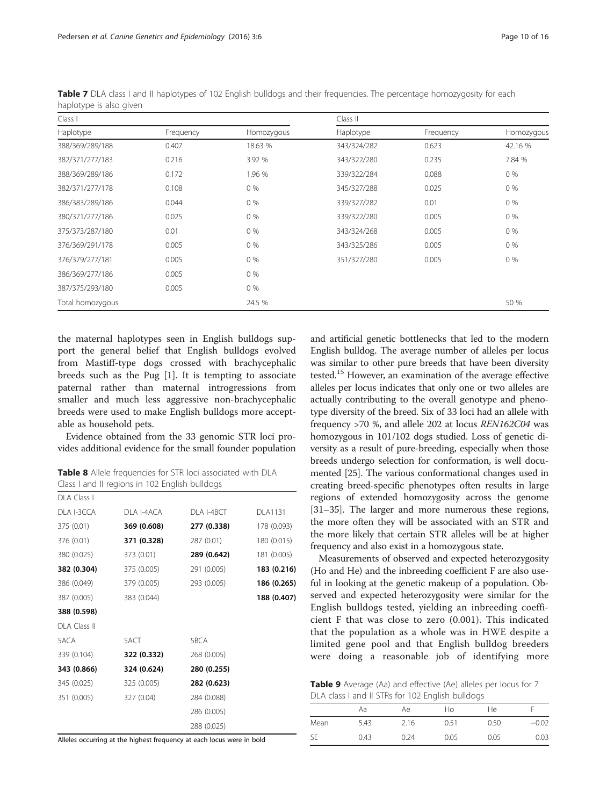| Class I          |           |            | Class II    |           |            |  |  |
|------------------|-----------|------------|-------------|-----------|------------|--|--|
| Haplotype        | Frequency | Homozygous | Haplotype   | Frequency | Homozygous |  |  |
| 388/369/289/188  | 0.407     | 18.63 %    | 343/324/282 | 0.623     | 42.16 %    |  |  |
| 382/371/277/183  | 0.216     | 3.92 %     | 343/322/280 | 0.235     | 7.84 %     |  |  |
| 388/369/289/186  | 0.172     | 1.96 %     | 339/322/284 | 0.088     | $0\%$      |  |  |
| 382/371/277/178  | 0.108     | $0\%$      | 345/327/288 | 0.025     | $0\%$      |  |  |
| 386/383/289/186  | 0.044     | $0\%$      | 339/327/282 | 0.01      | $0\%$      |  |  |
| 380/371/277/186  | 0.025     | $0\%$      | 339/322/280 | 0.005     | $0\%$      |  |  |
| 375/373/287/180  | 0.01      | $0\%$      | 343/324/268 | 0.005     | $0\%$      |  |  |
| 376/369/291/178  | 0.005     | $0\%$      | 343/325/286 | 0.005     | $0\%$      |  |  |
| 376/379/277/181  | 0.005     | $0\%$      | 351/327/280 | 0.005     | $0\%$      |  |  |
| 386/369/277/186  | 0.005     | $0\%$      |             |           |            |  |  |
| 387/375/293/180  | 0.005     | $0\%$      |             |           |            |  |  |
| Total homozygous |           | 24.5 %     |             |           | 50 %       |  |  |

<span id="page-9-0"></span>Table 7 DLA class I and II haplotypes of 102 English bulldogs and their frequencies. The percentage homozygosity for each haplotype is also given

the maternal haplotypes seen in English bulldogs support the general belief that English bulldogs evolved from Mastiff-type dogs crossed with brachycephalic breeds such as the Pug [\[1](#page-14-0)]. It is tempting to associate paternal rather than maternal introgressions from smaller and much less aggressive non-brachycephalic breeds were used to make English bulldogs more acceptable as household pets.

Evidence obtained from the 33 genomic STR loci provides additional evidence for the small founder population

Table 8 Allele frequencies for STR loci associated with DLA Class I and II regions in 102 English bulldogs

|              | class rand in regions in roz English ballaogs |             |                |
|--------------|-----------------------------------------------|-------------|----------------|
| DLA Class I  |                                               |             |                |
| DLA I-3CCA   | DLA I-4ACA                                    | DLA I-4BCT  | <b>DLA1131</b> |
| 375 (0.01)   | 369 (0.608)                                   | 277 (0.338) | 178 (0.093)    |
| 376 (0.01)   | 371 (0.328)                                   | 287 (0.01)  | 180 (0.015)    |
| 380 (0.025)  | 373 (0.01)                                    | 289 (0.642) | 181 (0.005)    |
| 382 (0.304)  | 375 (0.005)                                   | 291 (0.005) | 183 (0.216)    |
| 386 (0.049)  | 379 (0.005)                                   | 293 (0.005) | 186 (0.265)    |
| 387 (0.005)  | 383 (0.044)                                   |             | 188 (0.407)    |
| 388 (0.598)  |                                               |             |                |
| DLA Class II |                                               |             |                |
| 5ACA         | 5ACT                                          | 5BCA        |                |
| 339 (0.104)  | 322 (0.332)                                   | 268 (0.005) |                |
| 343 (0.866)  | 324 (0.624)                                   | 280 (0.255) |                |
| 345 (0.025)  | 325 (0.005)                                   | 282 (0.623) |                |
| 351 (0.005)  | 327 (0.04)                                    | 284 (0.088) |                |
|              |                                               | 286 (0.005) |                |
|              |                                               | 288 (0.025) |                |
|              |                                               |             |                |

Alleles occurring at the highest frequency at each locus were in bold

and artificial genetic bottlenecks that led to the modern English bulldog. The average number of alleles per locus was similar to other pure breeds that have been diversity tested.15 However, an examination of the average effective alleles per locus indicates that only one or two alleles are actually contributing to the overall genotype and phenotype diversity of the breed. Six of 33 loci had an allele with frequency >70 %, and allele 202 at locus REN162C04 was homozygous in 101/102 dogs studied. Loss of genetic diversity as a result of pure-breeding, especially when those breeds undergo selection for conformation, is well documented [\[25\]](#page-14-0). The various conformational changes used in creating breed-specific phenotypes often results in large regions of extended homozygosity across the genome [[31](#page-14-0)–[35\]](#page-14-0). The larger and more numerous these regions, the more often they will be associated with an STR and the more likely that certain STR alleles will be at higher frequency and also exist in a homozygous state.

Measurements of observed and expected heterozygosity (Ho and He) and the inbreeding coefficient F are also useful in looking at the genetic makeup of a population. Observed and expected heterozygosity were similar for the English bulldogs tested, yielding an inbreeding coefficient F that was close to zero (0.001). This indicated that the population as a whole was in HWE despite a limited gene pool and that English bulldog breeders were doing a reasonable job of identifying more

Table 9 Average (Aa) and effective (Ae) alleles per locus for 7 DLA class I and II STRs for 102 English bulldogs

|           | Aa   | Ae   | Hо   | He   |         |  |  |  |  |  |
|-----------|------|------|------|------|---------|--|--|--|--|--|
| Mean      | 5.43 | 2.16 | 0.51 | 0.50 | $-0.02$ |  |  |  |  |  |
| <b>SE</b> | 0.43 | 0.24 | 0.05 | 0.05 | 0.03    |  |  |  |  |  |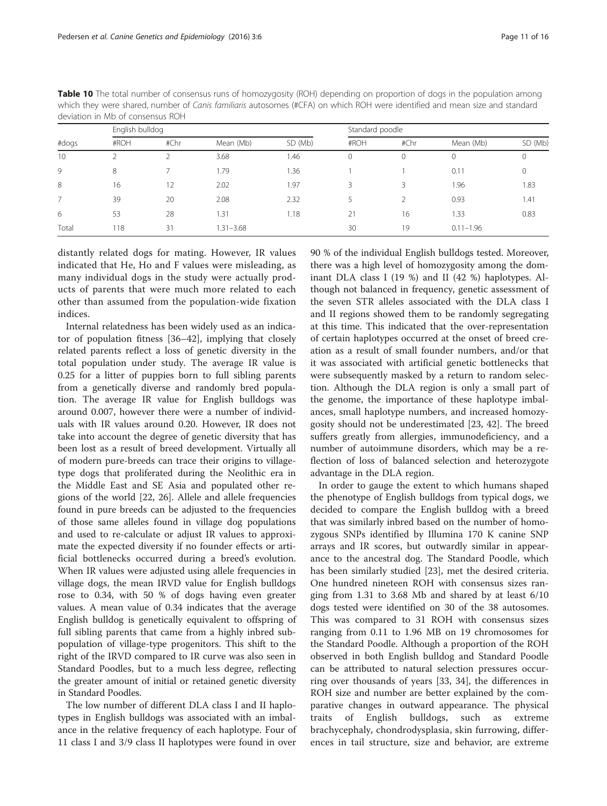| #dogs | English bulldog |      |               |         | Standard poodle |      |               |             |  |  |
|-------|-----------------|------|---------------|---------|-----------------|------|---------------|-------------|--|--|
|       | #ROH            | #Chr | Mean (Mb)     | SD (Mb) | #ROH            | #Chr | Mean (Mb)     | SD (Mb)     |  |  |
| 10    |                 |      | 3.68          | 1.46    | 0               | 0    | 0             |             |  |  |
| 9     | 8               |      | .79           | 1.36    |                 |      | 0.11          | $\mathbf 0$ |  |  |
| 8     | 16              | 12   | 2.02          | 1.97    | 3               | 3    | 1.96          | 1.83        |  |  |
| 7     | 39              | 20   | 2.08          | 2.32    |                 |      | 0.93          | 1.41        |  |  |
| 6     | 53              | 28   | .31           | 1.18    | 21              | 16   | 1.33          | 0.83        |  |  |
| Total | 118             | 31   | $1.31 - 3.68$ |         | 30              | 19   | $0.11 - 1.96$ |             |  |  |

<span id="page-10-0"></span>Table 10 The total number of consensus runs of homozygosity (ROH) depending on proportion of dogs in the population among which they were shared, number of Canis familiaris autosomes (#CFA) on which ROH were identified and mean size and standard deviation in Mb of consensus ROH

distantly related dogs for mating. However, IR values indicated that He, Ho and F values were misleading, as many individual dogs in the study were actually products of parents that were much more related to each other than assumed from the population-wide fixation indices.

Internal relatedness has been widely used as an indicator of population fitness [[36](#page-14-0)–[42](#page-14-0)], implying that closely related parents reflect a loss of genetic diversity in the total population under study. The average IR value is 0.25 for a litter of puppies born to full sibling parents from a genetically diverse and randomly bred population. The average IR value for English bulldogs was around 0.007, however there were a number of individuals with IR values around 0.20. However, IR does not take into account the degree of genetic diversity that has been lost as a result of breed development. Virtually all of modern pure-breeds can trace their origins to villagetype dogs that proliferated during the Neolithic era in the Middle East and SE Asia and populated other regions of the world [[22, 26](#page-14-0)]. Allele and allele frequencies found in pure breeds can be adjusted to the frequencies of those same alleles found in village dog populations and used to re-calculate or adjust IR values to approximate the expected diversity if no founder effects or artificial bottlenecks occurred during a breed's evolution. When IR values were adjusted using allele frequencies in village dogs, the mean IRVD value for English bulldogs rose to 0.34, with 50 % of dogs having even greater values. A mean value of 0.34 indicates that the average English bulldog is genetically equivalent to offspring of full sibling parents that came from a highly inbred subpopulation of village-type progenitors. This shift to the right of the IRVD compared to IR curve was also seen in Standard Poodles, but to a much less degree, reflecting the greater amount of initial or retained genetic diversity in Standard Poodles.

The low number of different DLA class I and II haplotypes in English bulldogs was associated with an imbalance in the relative frequency of each haplotype. Four of 11 class I and 3/9 class II haplotypes were found in over 90 % of the individual English bulldogs tested. Moreover, there was a high level of homozygosity among the dominant DLA class I (19 %) and II (42 %) haplotypes. Although not balanced in frequency, genetic assessment of the seven STR alleles associated with the DLA class I and II regions showed them to be randomly segregating at this time. This indicated that the over-representation of certain haplotypes occurred at the onset of breed creation as a result of small founder numbers, and/or that it was associated with artificial genetic bottlenecks that were subsequently masked by a return to random selection. Although the DLA region is only a small part of the genome, the importance of these haplotype imbalances, small haplotype numbers, and increased homozygosity should not be underestimated [\[23](#page-14-0), [42\]](#page-14-0). The breed suffers greatly from allergies, immunodeficiency, and a number of autoimmune disorders, which may be a reflection of loss of balanced selection and heterozygote advantage in the DLA region.

In order to gauge the extent to which humans shaped the phenotype of English bulldogs from typical dogs, we decided to compare the English bulldog with a breed that was similarly inbred based on the number of homozygous SNPs identified by Illumina 170 K canine SNP arrays and IR scores, but outwardly similar in appearance to the ancestral dog. The Standard Poodle, which has been similarly studied [[23\]](#page-14-0), met the desired criteria. One hundred nineteen ROH with consensus sizes ranging from 1.31 to 3.68 Mb and shared by at least 6/10 dogs tested were identified on 30 of the 38 autosomes. This was compared to 31 ROH with consensus sizes ranging from 0.11 to 1.96 MB on 19 chromosomes for the Standard Poodle. Although a proportion of the ROH observed in both English bulldog and Standard Poodle can be attributed to natural selection pressures occurring over thousands of years [\[33](#page-14-0), [34\]](#page-14-0), the differences in ROH size and number are better explained by the comparative changes in outward appearance. The physical traits of English bulldogs, such as extreme brachycephaly, chondrodysplasia, skin furrowing, differences in tail structure, size and behavior, are extreme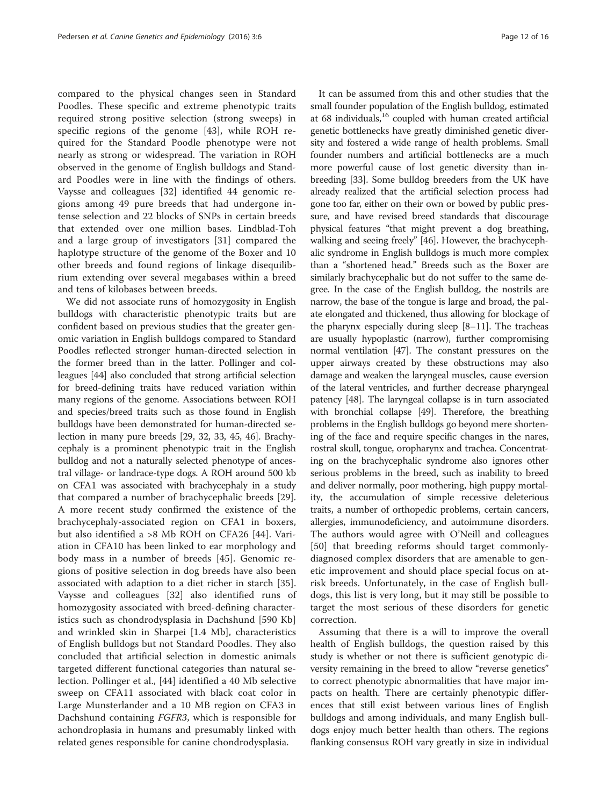compared to the physical changes seen in Standard Poodles. These specific and extreme phenotypic traits required strong positive selection (strong sweeps) in specific regions of the genome [[43\]](#page-14-0), while ROH required for the Standard Poodle phenotype were not nearly as strong or widespread. The variation in ROH observed in the genome of English bulldogs and Standard Poodles were in line with the findings of others. Vaysse and colleagues [\[32](#page-14-0)] identified 44 genomic regions among 49 pure breeds that had undergone intense selection and 22 blocks of SNPs in certain breeds that extended over one million bases. Lindblad-Toh and a large group of investigators [\[31](#page-14-0)] compared the haplotype structure of the genome of the Boxer and 10 other breeds and found regions of linkage disequilibrium extending over several megabases within a breed and tens of kilobases between breeds.

We did not associate runs of homozygosity in English bulldogs with characteristic phenotypic traits but are confident based on previous studies that the greater genomic variation in English bulldogs compared to Standard Poodles reflected stronger human-directed selection in the former breed than in the latter. Pollinger and colleagues [\[44\]](#page-14-0) also concluded that strong artificial selection for breed-defining traits have reduced variation within many regions of the genome. Associations between ROH and species/breed traits such as those found in English bulldogs have been demonstrated for human-directed selection in many pure breeds [29, 32, 33, 45, 46]. Brachycephaly is a prominent phenotypic trait in the English bulldog and not a naturally selected phenotype of ancestral village- or landrace-type dogs. A ROH around 500 kb on CFA1 was associated with brachycephaly in a study that compared a number of brachycephalic breeds [\[29](#page-14-0)]. A more recent study confirmed the existence of the brachycephaly-associated region on CFA1 in boxers, but also identified a >8 Mb ROH on CFA26 [[44\]](#page-14-0). Variation in CFA10 has been linked to ear morphology and body mass in a number of breeds [[45\]](#page-14-0). Genomic regions of positive selection in dog breeds have also been associated with adaption to a diet richer in starch [\[35](#page-14-0)]. Vaysse and colleagues [[32\]](#page-14-0) also identified runs of homozygosity associated with breed-defining characteristics such as chondrodysplasia in Dachshund [590 Kb] and wrinkled skin in Sharpei [1.4 Mb], characteristics of English bulldogs but not Standard Poodles. They also concluded that artificial selection in domestic animals targeted different functional categories than natural selection. Pollinger et al., [\[44](#page-14-0)] identified a 40 Mb selective sweep on CFA11 associated with black coat color in Large Munsterlander and a 10 MB region on CFA3 in Dachshund containing FGFR3, which is responsible for achondroplasia in humans and presumably linked with related genes responsible for canine chondrodysplasia.

It can be assumed from this and other studies that the small founder population of the English bulldog, estimated at 68 individuals,<sup>16</sup> coupled with human created artificial genetic bottlenecks have greatly diminished genetic diversity and fostered a wide range of health problems. Small founder numbers and artificial bottlenecks are a much more powerful cause of lost genetic diversity than inbreeding [\[33](#page-14-0)]. Some bulldog breeders from the UK have already realized that the artificial selection process had gone too far, either on their own or bowed by public pressure, and have revised breed standards that discourage physical features "that might prevent a dog breathing, walking and seeing freely" [[46](#page-15-0)]. However, the brachycephalic syndrome in English bulldogs is much more complex than a "shortened head." Breeds such as the Boxer are similarly brachycephalic but do not suffer to the same degree. In the case of the English bulldog, the nostrils are narrow, the base of the tongue is large and broad, the palate elongated and thickened, thus allowing for blockage of the pharynx especially during sleep [\[8](#page-14-0)–[11\]](#page-14-0). The tracheas are usually hypoplastic (narrow), further compromising normal ventilation [[47](#page-15-0)]. The constant pressures on the upper airways created by these obstructions may also damage and weaken the laryngeal muscles, cause eversion of the lateral ventricles, and further decrease pharyngeal patency [\[48](#page-15-0)]. The laryngeal collapse is in turn associated with bronchial collapse [\[49\]](#page-15-0). Therefore, the breathing problems in the English bulldogs go beyond mere shortening of the face and require specific changes in the nares, rostral skull, tongue, oropharynx and trachea. Concentrating on the brachycephalic syndrome also ignores other serious problems in the breed, such as inability to breed and deliver normally, poor mothering, high puppy mortality, the accumulation of simple recessive deleterious traits, a number of orthopedic problems, certain cancers, allergies, immunodeficiency, and autoimmune disorders. The authors would agree with O'Neill and colleagues [[50\]](#page-15-0) that breeding reforms should target commonlydiagnosed complex disorders that are amenable to genetic improvement and should place special focus on atrisk breeds. Unfortunately, in the case of English bulldogs, this list is very long, but it may still be possible to target the most serious of these disorders for genetic correction.

Assuming that there is a will to improve the overall health of English bulldogs, the question raised by this study is whether or not there is sufficient genotypic diversity remaining in the breed to allow "reverse genetics" to correct phenotypic abnormalities that have major impacts on health. There are certainly phenotypic differences that still exist between various lines of English bulldogs and among individuals, and many English bulldogs enjoy much better health than others. The regions flanking consensus ROH vary greatly in size in individual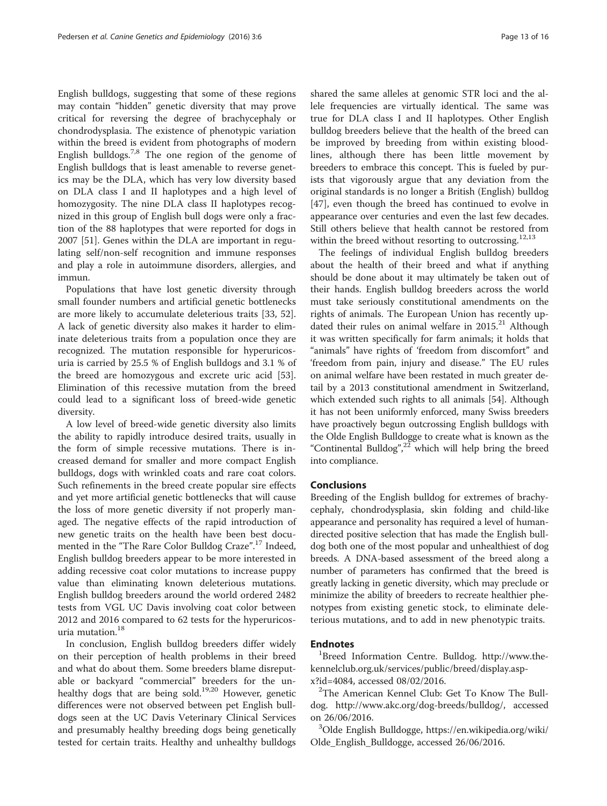English bulldogs, suggesting that some of these regions may contain "hidden" genetic diversity that may prove critical for reversing the degree of brachycephaly or chondrodysplasia. The existence of phenotypic variation within the breed is evident from photographs of modern English bulldogs.<sup>7,8</sup> The one region of the genome of English bulldogs that is least amenable to reverse genetics may be the DLA, which has very low diversity based on DLA class I and II haplotypes and a high level of homozygosity. The nine DLA class II haplotypes recognized in this group of English bull dogs were only a fraction of the 88 haplotypes that were reported for dogs in 2007 [[51\]](#page-15-0). Genes within the DLA are important in regulating self/non-self recognition and immune responses and play a role in autoimmune disorders, allergies, and immun.

Populations that have lost genetic diversity through small founder numbers and artificial genetic bottlenecks are more likely to accumulate deleterious traits [[33,](#page-14-0) [52](#page-15-0)]. A lack of genetic diversity also makes it harder to eliminate deleterious traits from a population once they are recognized. The mutation responsible for hyperuricosuria is carried by 25.5 % of English bulldogs and 3.1 % of the breed are homozygous and excrete uric acid [\[53](#page-15-0)]. Elimination of this recessive mutation from the breed could lead to a significant loss of breed-wide genetic diversity.

A low level of breed-wide genetic diversity also limits the ability to rapidly introduce desired traits, usually in the form of simple recessive mutations. There is increased demand for smaller and more compact English bulldogs, dogs with wrinkled coats and rare coat colors. Such refinements in the breed create popular sire effects and yet more artificial genetic bottlenecks that will cause the loss of more genetic diversity if not properly managed. The negative effects of the rapid introduction of new genetic traits on the health have been best documented in the "The Rare Color Bulldog Craze".<sup>17</sup> Indeed, English bulldog breeders appear to be more interested in adding recessive coat color mutations to increase puppy value than eliminating known deleterious mutations. English bulldog breeders around the world ordered 2482 tests from VGL UC Davis involving coat color between 2012 and 2016 compared to 62 tests for the hyperuricosuria mutation.<sup>18</sup>

In conclusion, English bulldog breeders differ widely on their perception of health problems in their breed and what do about them. Some breeders blame disreputable or backyard "commercial" breeders for the unhealthy dogs that are being sold.<sup>19,20</sup> However, genetic differences were not observed between pet English bulldogs seen at the UC Davis Veterinary Clinical Services and presumably healthy breeding dogs being genetically tested for certain traits. Healthy and unhealthy bulldogs shared the same alleles at genomic STR loci and the allele frequencies are virtually identical. The same was true for DLA class I and II haplotypes. Other English bulldog breeders believe that the health of the breed can be improved by breeding from within existing bloodlines, although there has been little movement by breeders to embrace this concept. This is fueled by purists that vigorously argue that any deviation from the original standards is no longer a British (English) bulldog [[47\]](#page-15-0), even though the breed has continued to evolve in appearance over centuries and even the last few decades. Still others believe that health cannot be restored from within the breed without resorting to outcrossing.<sup>12,13</sup>

The feelings of individual English bulldog breeders about the health of their breed and what if anything should be done about it may ultimately be taken out of their hands. English bulldog breeders across the world must take seriously constitutional amendments on the rights of animals. The European Union has recently updated their rules on animal welfare in 2015.<sup>21</sup> Although it was written specifically for farm animals; it holds that "animals" have rights of 'freedom from discomfort" and 'freedom from pain, injury and disease." The EU rules on animal welfare have been restated in much greater detail by a 2013 constitutional amendment in Switzerland, which extended such rights to all animals [\[54](#page-15-0)]. Although it has not been uniformly enforced, many Swiss breeders have proactively begun outcrossing English bulldogs with the Olde English Bulldogge to create what is known as the "Continental Bulldog",<sup>22</sup> which will help bring the breed into compliance.

#### Conclusions

Breeding of the English bulldog for extremes of brachycephaly, chondrodysplasia, skin folding and child-like appearance and personality has required a level of humandirected positive selection that has made the English bulldog both one of the most popular and unhealthiest of dog breeds. A DNA-based assessment of the breed along a number of parameters has confirmed that the breed is greatly lacking in genetic diversity, which may preclude or minimize the ability of breeders to recreate healthier phenotypes from existing genetic stock, to eliminate deleterious mutations, and to add in new phenotypic traits.

## **Endnotes**

Breed Information Centre. Bulldog. [http://www.the](http://www.thekennelclub.org.uk/services/public/breed/display.aspx?id=4084)[kennelclub.org.uk/services/public/breed/display.asp](http://www.thekennelclub.org.uk/services/public/breed/display.aspx?id=4084)[x?id=4084](http://www.thekennelclub.org.uk/services/public/breed/display.aspx?id=4084), accessed 08/02/2016. <sup>2</sup>

<sup>2</sup>The American Kennel Club: Get To Know The Bulldog.<http://www.akc.org/dog-breeds/bulldog/>, accessed on 26/06/2016.

Olde English Bulldogge, [https://en.wikipedia.org/wiki/](https://en.wikipedia.org/wiki/Olde_English_Bulldogge) [Olde\\_English\\_Bulldogge](https://en.wikipedia.org/wiki/Olde_English_Bulldogge), accessed 26/06/2016.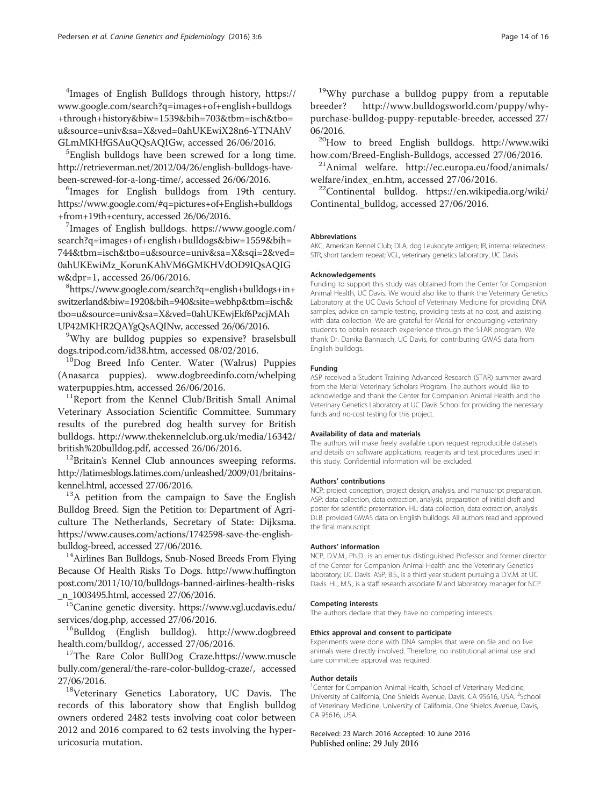4 Images of English Bulldogs through history, [https://](https://www.google.com/search?q=images+of+english+bulldogs+through+history&biw=1539&bih=703&tbm=isch&tbo=u&source=univ&sa=X&ved=0ahUKEwiX28n6-YTNAhVGLmMKHfGSAuQQsAQIGw) [www.google.com/search?q=images+of+english+bulldogs](https://www.google.com/search?q=images+of+english+bulldogs+through+history&biw=1539&bih=703&tbm=isch&tbo=u&source=univ&sa=X&ved=0ahUKEwiX28n6-YTNAhVGLmMKHfGSAuQQsAQIGw) [+through+history&biw=1539&bih=703&tbm=isch&tbo=](https://www.google.com/search?q=images+of+english+bulldogs+through+history&biw=1539&bih=703&tbm=isch&tbo=u&source=univ&sa=X&ved=0ahUKEwiX28n6-YTNAhVGLmMKHfGSAuQQsAQIGw) [u&source=univ&sa=X&ved=0ahUKEwiX28n6-YTNAhV](https://www.google.com/search?q=images+of+english+bulldogs+through+history&biw=1539&bih=703&tbm=isch&tbo=u&source=univ&sa=X&ved=0ahUKEwiX28n6-YTNAhVGLmMKHfGSAuQQsAQIGw) [GLmMKHfGSAuQQsAQIGw](https://www.google.com/search?q=images+of+english+bulldogs+through+history&biw=1539&bih=703&tbm=isch&tbo=u&source=univ&sa=X&ved=0ahUKEwiX28n6-YTNAhVGLmMKHfGSAuQQsAQIGw), accessed 26/06/2016. <sup>5</sup>

 ${}^{5}$ English bulldogs have been screwed for a long time. [http://retrieverman.net/2012/04/26/english-bulldogs-have](http://retrieverman.net/2012/04/26/english-bulldogs-have-been-screwed-for-a-long-time/)[been-screwed-for-a-long-time/,](http://retrieverman.net/2012/04/26/english-bulldogs-have-been-screwed-for-a-long-time/) accessed 26/06/2016.

 $6$ Images for English bulldogs from 19th century. [https://www.google.com/#q=pictures+of+English+bulldogs](https://www.google.com/#q=pictures+of+English+bulldogs+from+19th+century) [+from+19th+century](https://www.google.com/#q=pictures+of+English+bulldogs+from+19th+century), accessed 26/06/2016. <sup>7</sup>

Images of English bulldogs. [https://www.google.com/](https://www.google.com/search?q=images+of+english+bulldogs&biw=1559&bih=744&tbm=isch&tbo=u&source=univ&sa=X&sqi=2&ved=0ahUKEwiMz_KorunKAhVM6GMKHVdOD9IQsAQIGw&dpr=1) [search?q=images+of+english+bulldogs&biw=1559&bih=](https://www.google.com/search?q=images+of+english+bulldogs&biw=1559&bih=744&tbm=isch&tbo=u&source=univ&sa=X&sqi=2&ved=0ahUKEwiMz_KorunKAhVM6GMKHVdOD9IQsAQIGw&dpr=1) [744&tbm=isch&tbo=u&source=univ&sa=X&sqi=2&ved=](https://www.google.com/search?q=images+of+english+bulldogs&biw=1559&bih=744&tbm=isch&tbo=u&source=univ&sa=X&sqi=2&ved=0ahUKEwiMz_KorunKAhVM6GMKHVdOD9IQsAQIGw&dpr=1) [0ahUKEwiMz\\_KorunKAhVM6GMKHVdOD9IQsAQIG](https://www.google.com/search?q=images+of+english+bulldogs&biw=1559&bih=744&tbm=isch&tbo=u&source=univ&sa=X&sqi=2&ved=0ahUKEwiMz_KorunKAhVM6GMKHVdOD9IQsAQIGw&dpr=1) [w&dpr=1](https://www.google.com/search?q=images+of+english+bulldogs&biw=1559&bih=744&tbm=isch&tbo=u&source=univ&sa=X&sqi=2&ved=0ahUKEwiMz_KorunKAhVM6GMKHVdOD9IQsAQIGw&dpr=1), accessed 26/06/2016. <sup>8</sup>

[https://www.google.com/search?q=english+bulldogs+in+](https://www.google.com/search?q=english+bulldogs+in+switzerland&biw=1920&bih=940&site=webhp&tbm=isch&tbo=u&source=univ&sa=X&ved=0ahUKEwjEkf6PzcjMAhUP42MKHR2QAYgQsAQINw) [switzerland&biw=1920&bih=940&site=webhp&tbm=isch&](https://www.google.com/search?q=english+bulldogs+in+switzerland&biw=1920&bih=940&site=webhp&tbm=isch&tbo=u&source=univ&sa=X&ved=0ahUKEwjEkf6PzcjMAhUP42MKHR2QAYgQsAQINw) [tbo=u&source=univ&sa=X&ved=0ahUKEwjEkf6PzcjMAh](https://www.google.com/search?q=english+bulldogs+in+switzerland&biw=1920&bih=940&site=webhp&tbm=isch&tbo=u&source=univ&sa=X&ved=0ahUKEwjEkf6PzcjMAhUP42MKHR2QAYgQsAQINw) [UP42MKHR2QAYgQsAQINw](https://www.google.com/search?q=english+bulldogs+in+switzerland&biw=1920&bih=940&site=webhp&tbm=isch&tbo=u&source=univ&sa=X&ved=0ahUKEwjEkf6PzcjMAhUP42MKHR2QAYgQsAQINw), accessed 26/06/2016. <sup>9</sup>

<sup>9</sup>Why are bulldog puppies so expensive? braselsbull dogs.tripod.com/id38.htm, accessed 08/02/2016.<br><sup>10</sup>Dog Breed Info Center. Water (Walrus) Puppies

(Anasarca puppies). [www.dogbreedinfo.com/whelping](http://www.dogbreedinfo.com/whelpingwaterpuppies.htm) [waterpuppies.htm,](http://www.dogbreedinfo.com/whelpingwaterpuppies.htm) accessed 26/06/2016.<br><sup>11</sup>Report from the Kennel Club/British Small Animal

Veterinary Association Scientific Committee. Summary results of the purebred dog health survey for British bulldogs. [http://www.thekennelclub.org.uk/media/16342/](http://www.thekennelclub.org.uk/media/16342/british%20bulldog.pdf) [british%20bulldog.pdf,](http://www.thekennelclub.org.uk/media/16342/british%20bulldog.pdf) accessed 26/06/2016.<br><sup>12</sup>Britain's Kennel Club announces sweeping reforms.

[http://latimesblogs.latimes.com/unleashed/2009/01/britains](http://latimesblogs.latimes.com/unleashed/2009/01/britains-kennel.html)[kennel.html,](http://latimesblogs.latimes.com/unleashed/2009/01/britains-kennel.html) accessed 27/06/2016.<br><sup>13</sup>A petition from the campaign to Save the English

Bulldog Breed. Sign the Petition to: Department of Agriculture The Netherlands, Secretary of State: Dijksma. [https://www.causes.com/actions/1742598-save-the-english](https://www.causes.com/actions/1742598-save-the-english-bulldog-breed)[bulldog-breed](https://www.causes.com/actions/1742598-save-the-english-bulldog-breed), accessed 27/06/2016. 14Airlines Ban Bulldogs, Snub-Nosed Breeds From Flying

Because Of Health Risks To Dogs. [http://www.huffington](http://www.huffingtonpost.com/2011/10/10/bulldogs-banned-airlines-health-risks_n_1003495.html) [post.com/2011/10/10/bulldogs-banned-airlines-health-risks](http://www.huffingtonpost.com/2011/10/10/bulldogs-banned-airlines-health-risks_n_1003495.html) [\\_n\\_1003495.html](http://www.huffingtonpost.com/2011/10/10/bulldogs-banned-airlines-health-risks_n_1003495.html), accessed 27/06/2016. 15Canine genetic diversity. [https://www.vgl.ucdavis.edu/](https://www.vgl.ucdavis.edu/services/dog.php)

[services/dog.php,](https://www.vgl.ucdavis.edu/services/dog.php) accessed 27/06/2016.<br><sup>16</sup>Bulldog (English bulldog). [http://www.dogbreed](http://www.dogbreedhealth.com/bulldog/) [health.com/bulldog/](http://www.dogbreedhealth.com/bulldog/), accessed 27/06/2016.<br><sup>17</sup>The Rare Color BullDog Craze.[https://www.muscle](https://www.musclebully.com/general/the-rare-color-bulldog-craze/)

[bully.com/general/the-rare-color-bulldog-craze/](https://www.musclebully.com/general/the-rare-color-bulldog-craze/), accessed

27/06/2016.<br> $18$ Veterinary Genetics Laboratory, UC Davis. The records of this laboratory show that English bulldog owners ordered 2482 tests involving coat color between 2012 and 2016 compared to 62 tests involving the hyperuricosuria mutation.

06/2016.<br><sup>20</sup>How to breed English bulldogs. [http://www.wiki](http://www.wikihow.com/Breed-English-Bulldogs) [how.com/Breed-English-Bulldogs](http://www.wikihow.com/Breed-English-Bulldogs), accessed 27/06/2016.<br><sup>21</sup>Animal welfare. [http://ec.europa.eu/food/animals/](http://ec.europa.eu/food/animals/welfare/index_en.htm)

[welfare/index\\_en.htm,](http://ec.europa.eu/food/animals/welfare/index_en.htm) accessed 27/06/2016.<br><sup>22</sup>Continental bulldog. [https://en.wikipedia.org/wiki/](https://en.wikipedia.org/wiki/Continental_bulldog)

[Continental\\_bulldog](https://en.wikipedia.org/wiki/Continental_bulldog), accessed 27/06/2016.

#### **Abbreviations**

AKC, American Kennel Club; DLA, dog Leukocyte antigen; IR, internal relatedness; STR, short tandem repeat; VGL, veterinary genetics laboratory, UC Davis

#### Acknowledgements

Funding to support this study was obtained from the Center for Companion Animal Health, UC Davis. We would also like to thank the Veterinary Genetics Laboratory at the UC Davis School of Veterinary Medicine for providing DNA samples, advice on sample testing, providing tests at no cost, and assisting with data collection. We are grateful for Merial for encouraging veterinary students to obtain research experience through the STAR program. We thank Dr. Danika Bannasch, UC Davis, for contributing GWAS data from English bulldogs.

#### Funding

ASP received a Student Training Advanced Research (STAR) summer award from the Merial Veterinary Scholars Program. The authors would like to acknowledge and thank the Center for Companion Animal Health and the Veterinary Genetics Laboratory at UC Davis School for providing the necessary funds and no-cost testing for this project.

#### Availability of data and materials

The authors will make freely available upon request reproducible datasets and details on software applications, reagents and test procedures used in this study. Confidential information will be excluded.

#### Authors' contributions

NCP: project conception, project design, analysis, and manuscript preparation. ASP: data collection, data extraction, analysis, preparation of initial draft and poster for scientific presentation. HL: data collection, data extraction, analysis. DLB: provided GWAS data on English bulldogs. All authors read and approved the final manuscript.

#### Authors' information

NCP, D.V.M., Ph.D., is an emeritus distinguished Professor and former director of the Center for Companion Animal Health and the Veterinary Genetics laboratory, UC Davis. ASP, B.S., is a third year student pursuing a D.V.M. at UC Davis. HL, M.S., is a staff research associate IV and laboratory manager for NCP.

#### Competing interests

The authors declare that they have no competing interests.

#### Ethics approval and consent to participate

Experiments were done with DNA samples that were on file and no live animals were directly involved. Therefore, no institutional animal use and care committee approval was required.

#### Author details

<sup>1</sup> Center for Companion Animal Health, School of Veterinary Medicine, University of California, One Shields Avenue, Davis, CA 95616, USA. <sup>2</sup>School of Veterinary Medicine, University of California, One Shields Avenue, Davis, CA 95616, USA.

#### Received: 23 March 2016 Accepted: 10 June 2016 Published online: 29 July 2016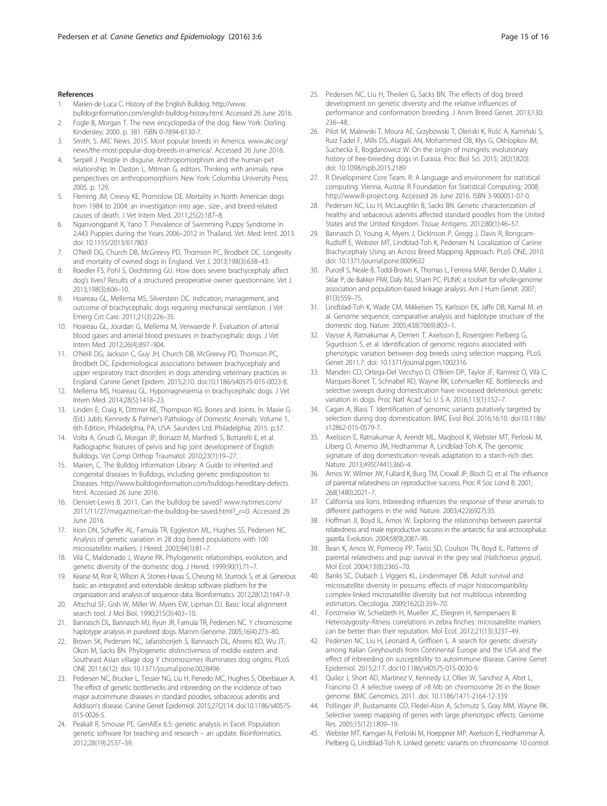#### <span id="page-14-0"></span>References

- 1. Marien-de Luca C. History of the English Bulldog. [http://www.](http://www.bulldoginformation.com/english-bulldog-history.html) [bulldoginformation.com/english-bulldog-history.html.](http://www.bulldoginformation.com/english-bulldog-history.html) Accessed 26 June 2016.
- 2. Fogle B, Morgan T. The new encyclopedia of the dog. New York: Dorling Kindersley; 2000. p. 381. ISBN 0-7894-6130-7.
- 3. Smith, S. AKC News. 2015. Most popular breeds in America. [www.akc.org/](http://www.akc.org/news/the-most-popular-dog-breeds-in-america/) [news/the-most-popular-dog-breeds-in-america/.](http://www.akc.org/news/the-most-popular-dog-breeds-in-america/) Accessed 26 June 2016.
- 4. Serpell J. People in disguise. Anthropomorphism and the human-pet relationship. In: Daston L, Mitman G, editors. Thinking with animals: new perspectives on anthropomorphism. New York: Columbia University Press; 2005. p. 129.
- 5. Fleming JM, Creevy KE, Promislow DE. Mortality in North American dogs from 1984 to 2004: an investigation into age-, size-, and breed-related causes of death. J Vet Intern Med. 2011;25(2):187–8.
- 6. Nganvongpanit K, Yano T. Prevalence of Swimming Puppy Syndrome in 2,443 Puppies during the Years 2006–2012 in Thailand. Vet. Med. Intnl. 2013. doi: [10.1155/2013/617803](http://dx.doi.org/10.1155/2013/617803)
- 7. O'Neill DG, Church DB, McGreevy PD, Thomson PC, Brodbelt DC. Longevity and mortality of owned dogs in England. Vet J. 2013;198(3):638–43.
- Roedler FS, Pohl S, Oechtering GU. How does severe brachycephaly affect dog's lives? Results of a structured preoperative owner questionnaire. Vet J. 2013;198(3):606–10.
- 9. Hoareau GL, Mellema MS, Silverstein DC. Indication, management, and outcome of brachycephalic dogs requiring mechanical ventilation. J Vet Emerg Crit Care. 2011;21(3):226–35.
- 10. Hoareau GL, Jourdan G, Mellema M, Verwaerde P. Evaluation of arterial blood gases and arterial blood pressures in brachycephalic dogs. J Vet Intern Med. 2012;26(4):897–904.
- 11. O'Neill DG, Jackson C, Guy JH, Church DB, McGreevy PD, Thomson PC, Brodbelt DC. Epidemiological associations between brachycephaly and upper respiratory tract disorders in dogs attending veterinary practices in England. Canine Genet Epidem. 2015;2:10. doi[:10.1186/s40575-015-0023-8](http://dx.doi.org/10.1186/s40575-015-0023-8).
- 12. Mellema MS, Hoareau GL. Hypomagnesemia in brachycephalic dogs. J Vet Intern Med. 2014;28(5):1418–23.
- 13. Linden E, Craig K, Dittmer KE, Thompson KG. Bones and Joints. In: Maxie G (Ed.) Jubb, Kennedy & Palmer's Pathology of Domestic Animals: Volume 1, 6th Edition, Philadelphia, PA, USA: Saunders Ltd. Philadelphia; 2015. p.37.
- 14. Volta A, Gnudi G, Morgan JP, Bonazzi M, Manfredi S, Bottarelli E, et al. Radiographic features of pelvis and hip joint development of English Bulldogs. Vet Comp Orthop Traumatol. 2010;23(1):19–27.
- 15. Marien, C. The Bulldog Information Library: A Guide to inherited and congenital diseases In Bulldogs, including genetic predisposition to Diseases. [http://www.bulldoginformation.com/bulldogs-hereditary-defects.](http://www.bulldoginformation.com/bulldogs-hereditary-defects.html) [html.](http://www.bulldoginformation.com/bulldogs-hereditary-defects.html) Accessed 26 June 2016.
- 16. Densiet-Lewis B. 2011. Can the bulldog be saved? [www.nytimes.com/](http://www.nytimes.com/2011/11/27/magazine/can-the-bulldog-be-saved.html?_r=0) [2011/11/27/magazine/can-the-bulldog-be-saved.html?\\_r=0.](http://www.nytimes.com/2011/11/27/magazine/can-the-bulldog-be-saved.html?_r=0) Accessed 26 June 2016.
- 17. Irion DN, Schaffer AL, Famula TR, Eggleston ML, Hughes SS, Pedersen NC. Analysis of genetic variation in 28 dog breed populations with 100 microsatellite markers. J Hered. 2003;94(1):81–7.
- 18. Vilá C, Maldonado J, Wayne RK. Phylogenetic relationships, evolution, and genetic diversity of the domestic dog. J Hered. 1999;90(1):71–7.
- 19. Kearse M, Roir R, Wilson A, Stones-Havas S, Cheung M, Sturrock S, et al. Geneious basic: an integrated and extendable desktop software platform for the organization and analysis of sequence data. Bioinformatics. 2012;28(12):1647–9.
- 20. Altschul SF, Gish W, Miller W, Myers EW, Lipman DJ. Basic local alignment search tool. J Mol Biol. 1990;215(3):403–10.
- 21. Bannasch DL, Bannasch MJ, Ryun JR, Famula TR, Pedersen NC. Y chromosome haplotype analysis in purebred dogs. Mamm Genome. 2005;16(4):273–80.
- 22. Brown SK, Pedersen NC, Jafarishorijeh S, Bannasch DL, Ahrens KD, Wu JT, Okon M, Sacks BN. Phylogenetic distinctiveness of middle eastern and Southeast Asian village dog Y chromosomes illuminates dog origins. PLoS ONE 2011;6(12): doi: [10.1371/journal.pone.0028496](http://dx.doi.org/10.1371/journal.pone.0028496)
- 23. Pedersen NC, Brucker L, Tessier NG, Liu H, Penedo MC, Hughes S, Oberbauer A. The effect of genetic bottlenecks and inbreeding on the incidence of two major autoimmune diseases in standard poodles, sebaceous adenitis and Addison's disease. Canine Genet Epidemiol. 2015;27(2):14. doi[:10.1186/s40575-](http://dx.doi.org/10.1186/s40575-015-0026-5) [015-0026-5](http://dx.doi.org/10.1186/s40575-015-0026-5).
- 24. Peakall R, Smouse PE. GenAlEx 6.5: genetic analysis in Excel. Population genetic software for teaching and research – an update. Bioinformatics. 2012;28(19):2537–39.
- 25. Pedersen NC, Liu H, Theilen G, Sacks BN. The effects of dog breed development on genetic diversity and the relative influences of performance and conformation breeding. J Anim Breed Genet. 2013;130: 236–48.
- 26. Pilot M, Malewski T, Moura AE, Grzybowski T, Oleński K, Ruść A, Kamiński S, Ruiz Fadel F, Mills DS, Alagaili AN, Mohammed OB, Kłys G, Okhlopkov IM, Suchecka E, Bogdanowicz W. On the origin of mongrels: evolutionary history of free-breeding dogs in Eurasia. Proc Biol Sci. 2015; 282(1820): doi: [10.1098/rspb.2015.2189](http://dx.doi.org/10.1098/rspb.2015.2189)
- 27. R Development Core Team. R: A language and environment for statistical computing. Vienna, Austria: R Foundation for Statistical Computing; 2008. [http://www.R-project.org.](http://www.r-project.org/) Accessed 26 June 2016. ISBN 3-900051-07-0.
- 28. Pedersen NC, Liu H, McLaughlin B, Sacks BN. Genetic characterization of healthy and sebaceous adenitis affected standard poodles from the United States and the United Kingdom. Tissue Antigens. 2012;80(1):46–57.
- 29. Bannasch D, Young A, Myers J, Dickinson P, Gregg J, Davis R, Bongcam-Rudloff E, Webster MT, Lindblad-Toh K, Pedersen N. Localization of Canine Brachycephaly Using an Across Breed Mapping Approach. PLoS ONE, 2010. doi: [10.1371/journal.pone.0009632](http://dx.doi.org/10.1371/journal.pone.0009632)
- 30. Purcell S, Neale B, Todd-Brown K, Thomas L, Ferreira MAR, Bender D, Maller J, Sklar P, de Bakker PIW, Daly MJ, Sham PC. PLINK: a toolset for whole-genome association and population-based linkage analysis. Am J Hum Genet. 2007; 81(3):559–75.
- 31. Lindblad-Toh K, Wade CM, Mikkelsen TS, Karlsson EK, Jaffe DB, Kamal M, et al. Genome sequence, comparative analysis and haplotype structure of the domestic dog. Nature. 2005;438(7069):803–1.
- 32. Vaysse A, Ratnakumar A, Derrien T, Axelsson E, Rosengren Pielberg G, Sigurdsson S, et al. Identification of genomic regions associated with phenotypic variation between dog breeds using selection mapping. PLoS Genet 2011;7: doi: [10.1371/journal.pgen.1002316](http://dx.doi.org/10.1371/journal.pgen.1002316)
- 33. Marsden CD, Ortega-Del Vecchyo D, O'Brien DP, Taylor JF, Ramirez O, Vilà C, Marques-Bonet T, Schnabel RD, Wayne RK, Lohmueller KE. Bottlenecks and selective sweeps during domestication have increased deleterious genetic variation in dogs. Proc Natl Acad Sci U S A. 2016;113(1):152–7.
- 34. Cagan A, Blass T. Identification of genomic variants putatively targeted by selection during dog domestication. BMC Evol Biol. 2016;16:10. doi:[10.1186/](http://dx.doi.org/10.1186/s12862-015-0579-7) [s12862-015-0579-7.](http://dx.doi.org/10.1186/s12862-015-0579-7)
- 35. Axelsson E, Ratnakumar A, Arendt ML, Maqbool K, Webster MT, Perloski M, Liberg O, Arnemo JM, Hedhammar A, Lindblad-Toh K. The genomic signature of dog domestication reveals adaptation to a starch-rich diet. Nature. 2013;495(7441):360–4.
- 36. Amos W, Wilmer JW, Fullard K, Burg TM, Croxall JP, Bloch D, et al. The influence of parental relatedness on reproductive success. Proc R Soc Lond B. 2001; 268(1480):2021–7.
- 37. California sea lions. Inbreeding influences the response of these animals to different pathogens in the wild. Nature. 2003;422(6927):35.
- 38. Hoffman JI, Boyd IL, Amos W. Exploring the relationship between parental relatedness and male reproductive success in the antarctic fur seal arctocephalus gazella. Evolution. 2004;58(9):2087–99.
- 39. Bean K, Amos W, Pomeroy PP, Twiss SD, Coulson TN, Boyd IL. Patterns of parental relatedness and pup survival in the grey seal (Halichoerus grypus). Mol Ecol. 2004;13(8):2365–70.
- 40. Banks SC, Dubach J, Viggers KL, Lindenmayer DB. Adult survival and microsatellite diversity in possums: effects of major histocompatibility complex-linked microsatellite diversity but not multilocus inbreeding estimators. Oecologia. 2009;162(2):359–70.
- 41. Forstmeier W, Schielzeth H, Mueller JC, Ellegren H, Kempenaers B. Heterozygosity–fitness correlations in zebra finches: microsatellite markers can be better than their reputation. Mol Ecol. 2012;21(13):3237–49.
- 42. Pedersen NC, Liu H, Leonard A, Griffioen L. A search for genetic diversity among Italian Greyhounds from Continental Europe and the USA and the effect of inbreeding on susceptibility to autoimmune disease. Canine Genet Epidemiol. 2015;2:17. doi[:10.1186/s40575-015-0030-9.](http://dx.doi.org/10.1186/s40575-015-0030-9)
- 43. Quilez J, Short AD, Martínez V, Kennedy LJ, Ollier W, Sanchez A, Altet L, Francino O. A selective sweep of >8 Mb on chromosome 26 in the Boxer genome. BMC Genomics. 2011. doi: [10.1186/1471-2164-12-339](http://dx.doi.org/10.1186/1471-2164-12-339)
- 44. Pollinger JP, Bustamante CD, Fledel-Alon A, Schmutz S, Gray MM, Wayne RK. Selective sweep mapping of genes with large phenotypic effects. Genome Res. 2005;15(12):1809–19.
- 45. Webster MT, Kamgari N, Perloski M, Hoeppner MP, Axelsson E, Hedhammar Å, Pielberg G, Lindblad-Toh K. Linked genetic variants on chromosome 10 control